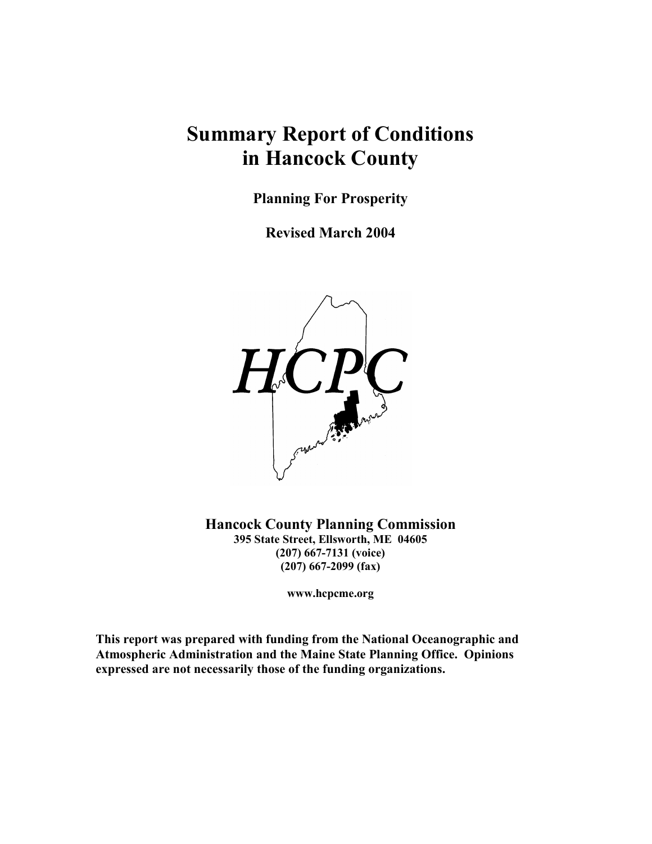## **Summary Report of Conditions** in Hancock County

**Planning For Prosperity** 

**Revised March 2004** 



**Hancock County Planning Commission** 395 State Street, Ellsworth, ME 04605  $(207)$  667-7131 (voice)  $(207)$  667-2099 (fax)

www.hcpcme.org

This report was prepared with funding from the National Oceanographic and Atmospheric Administration and the Maine State Planning Office. Opinions expressed are not necessarily those of the funding organizations.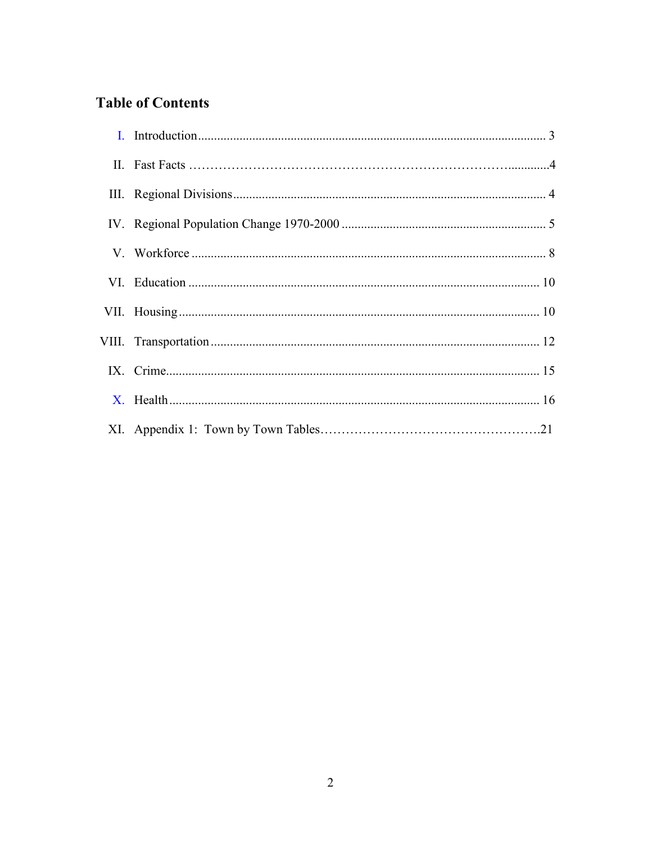## **Table of Contents**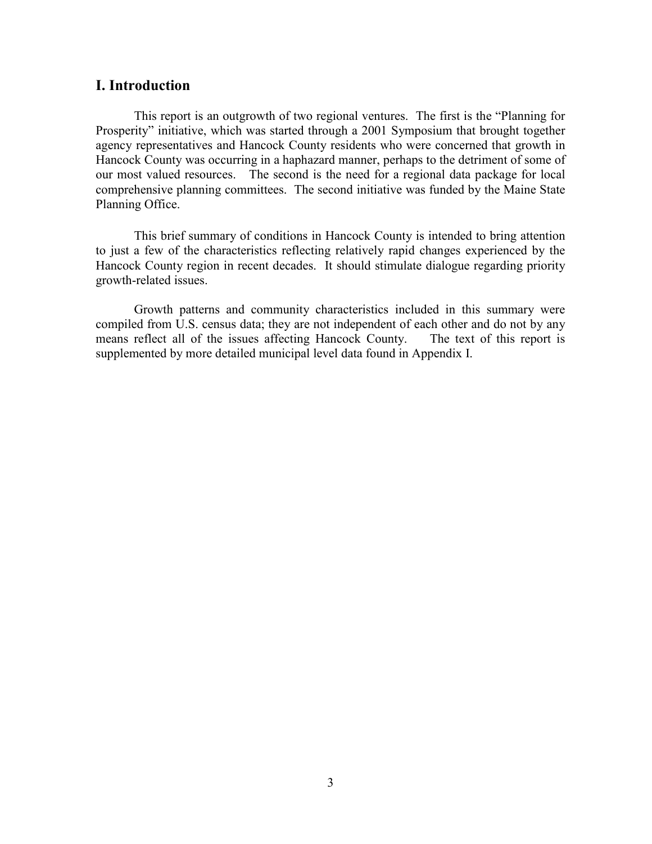#### **I.** Introduction

This report is an outgrowth of two regional ventures. The first is the "Planning for Prosperity" initiative, which was started through a 2001 Symposium that brought together agency representatives and Hancock County residents who were concerned that growth in Hancock County was occurring in a haphazard manner, perhaps to the detriment of some of our most valued resources. The second is the need for a regional data package for local comprehensive planning committees. The second initiative was funded by the Maine State Planning Office.

This brief summary of conditions in Hancock County is intended to bring attention to just a few of the characteristics reflecting relatively rapid changes experienced by the Hancock County region in recent decades. It should stimulate dialogue regarding priority growth-related issues.

Growth patterns and community characteristics included in this summary were compiled from U.S. census data; they are not independent of each other and do not by any means reflect all of the issues affecting Hancock County. The text of this report is supplemented by more detailed municipal level data found in Appendix I.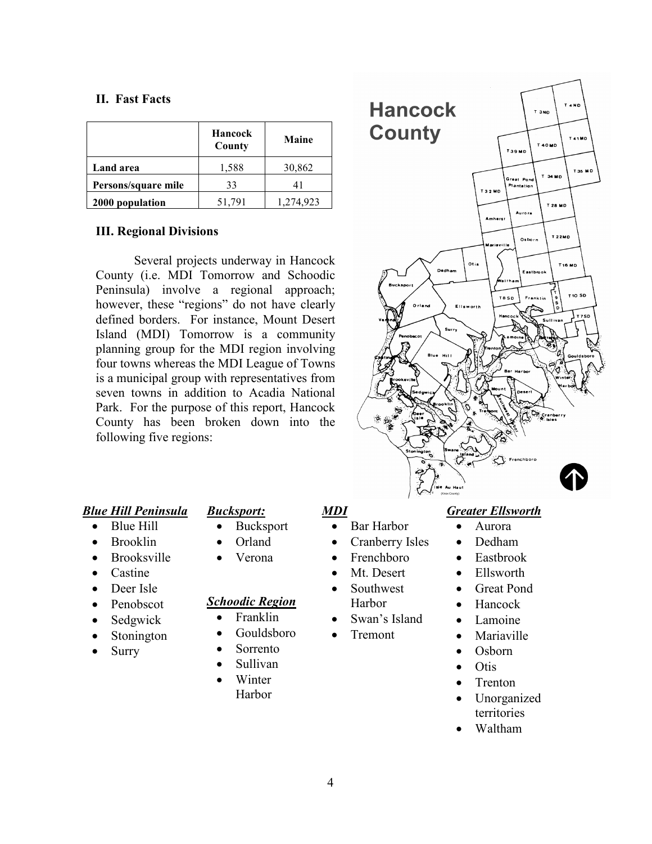#### **II.** Fast Facts

|                     | Hancock<br>County | <b>Maine</b> |
|---------------------|-------------------|--------------|
| Land area           | 1,588             | 30,862       |
| Persons/square mile | 33                | 41           |
| 2000 population     | 51,791            | 1,274,923    |

#### **III. Regional Divisions**

Several projects underway in Hancock County (i.e. MDI Tomorrow and Schoodic Peninsula) involve a regional approach; however, these "regions" do not have clearly defined borders. For instance, Mount Desert Island (MDI) Tomorrow is a community planning group for the MDI region involving four towns whereas the MDI League of Towns is a municipal group with representatives from seven towns in addition to Acadia National Park. For the purpose of this report, Hancock County has been broken down into the following five regions:



#### **Blue Hill Peninsula**

- Blue Hill  $\bullet$
- **Brooklin**
- **Brooksville**
- Castine
- Deer Isle
- Penobscot
- Sedgwick
- Stonington
- Surry

## **Bucksport:**

- Bucksport  $\bullet$
- Orland  $\bullet$
- Verona  $\bullet$

## **Schoodic Region**

- Franklin  $\bullet$
- Gouldsboro
- Sorrento  $\bullet$
- Sullivan  $\bullet$
- $\bullet$ Winter Harbor

## **MDI**

- Bar Harbor  $\bullet$
- Cranberry Isles
- Frenchboro
- Mt. Desert
- Southwest Harbor
- Swan's Island
- Tremont
- $\bullet$ Osborn  $\bullet$

 $\bullet$ 

 $\bullet$ 

 $\bullet$ 

 $\bullet$ 

 $\bullet$ 

- **Otis**
- Trenton  $\bullet$
- Unorganized  $\bullet$ territories

Aurora

Dedham

Eastbrook

Ellsworth

Hancock

Lamoine

Mariaville

**Great Pond** 

Waltham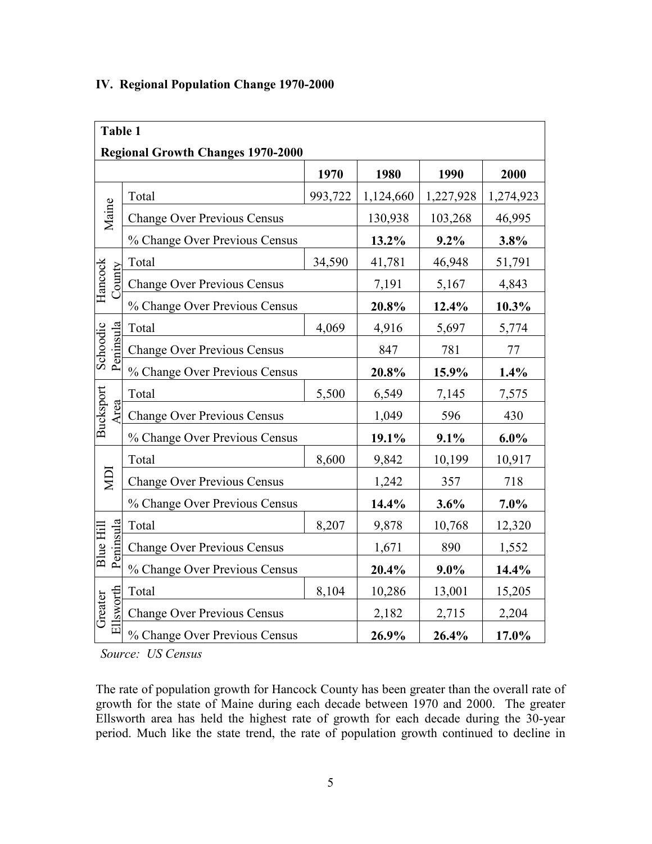| <b>Table 1</b>                           |                                    |         |           |           |           |  |  |
|------------------------------------------|------------------------------------|---------|-----------|-----------|-----------|--|--|
| <b>Regional Growth Changes 1970-2000</b> |                                    |         |           |           |           |  |  |
|                                          |                                    | 1970    | 1980      | 1990      | 2000      |  |  |
|                                          | Total                              | 993,722 | 1,124,660 | 1,227,928 | 1,274,923 |  |  |
| Maine                                    | <b>Change Over Previous Census</b> |         | 130,938   | 103,268   | 46,995    |  |  |
|                                          | % Change Over Previous Census      |         | 13.2%     | $9.2\%$   | 3.8%      |  |  |
|                                          | Total                              | 34,590  | 41,781    | 46,948    | 51,791    |  |  |
| Hancock<br><b>County</b>                 | <b>Change Over Previous Census</b> | 7,191   | 5,167     | 4,843     |           |  |  |
|                                          | % Change Over Previous Census      |         | 20.8%     | 12.4%     | 10.3%     |  |  |
|                                          | Total                              | 4,069   | 4,916     | 5,697     | 5,774     |  |  |
| Peninsula<br>Schoodic                    | <b>Change Over Previous Census</b> |         | 847       | 781       | 77        |  |  |
|                                          | % Change Over Previous Census      |         | 20.8%     | 15.9%     | 1.4%      |  |  |
|                                          | Total                              | 5,500   | 6,549     | 7,145     | 7,575     |  |  |
| Bucksport<br>Area                        | <b>Change Over Previous Census</b> |         | 1,049     | 596       | 430       |  |  |
|                                          | % Change Over Previous Census      |         | 19.1%     | 9.1%      | $6.0\%$   |  |  |
|                                          | Total                              | 8,600   | 9,842     | 10,199    | 10,917    |  |  |
| ГД                                       | <b>Change Over Previous Census</b> |         | 1,242     | 357       | 718       |  |  |
|                                          | % Change Over Previous Census      |         | 14.4%     | 3.6%      | 7.0%      |  |  |
|                                          | Total                              | 8,207   | 9,878     | 10,768    | 12,320    |  |  |
| Peninsula<br><b>Blue Hill</b>            | <b>Change Over Previous Census</b> |         | 1,671     | 890       | 1,552     |  |  |
|                                          | % Change Over Previous Census      |         | 20.4%     | $9.0\%$   | 14.4%     |  |  |
|                                          | Total                              | 8,104   | 10,286    | 13,001    | 15,205    |  |  |
| Ellsworth<br>Greater                     | <b>Change Over Previous Census</b> |         | 2,182     | 2,715     | 2,204     |  |  |
|                                          | % Change Over Previous Census      | 26.9%   | 26.4%     | 17.0%     |           |  |  |

## IV. Regional Population Change 1970-2000

Source: US Census

The rate of population growth for Hancock County has been greater than the overall rate of growth for the state of Maine during each decade between 1970 and 2000. The greater Ellsworth area has held the highest rate of growth for each decade during the 30-year period. Much like the state trend, the rate of population growth continued to decline in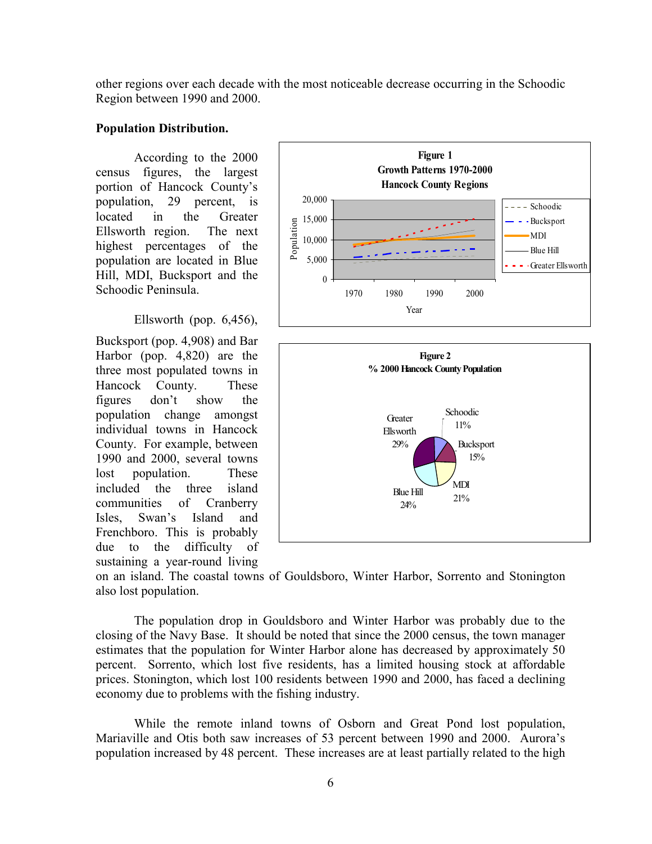other regions over each decade with the most noticeable decrease occurring in the Schoodic Region between 1990 and 2000.

#### **Population Distribution.**

According to the 2000 census figures, the largest portion of Hancock County's 29 percent, is population. located Greater  $in$ the Ellsworth region. The next highest percentages of the population are located in Blue Hill, MDI, Bucksport and the Schoodic Peninsula

#### Ellsworth (pop.  $6,456$ ),

Bucksport (pop. 4,908) and Bar Harbor (pop.  $4,820$ ) are the three most populated towns in County. Hancock **These** figures don't show the population change amongst individual towns in Hancock County. For example, between 1990 and 2000, several towns lost population. These included the three island communities of Cranberry Swan's Island Isles. and Frenchboro. This is probably due to the difficulty of sustaining a year-round living





on an island. The coastal towns of Gouldsboro, Winter Harbor, Sorrento and Stonington also lost population.

The population drop in Gouldsboro and Winter Harbor was probably due to the closing of the Navy Base. It should be noted that since the 2000 census, the town manager estimates that the population for Winter Harbor alone has decreased by approximately 50 percent. Sorrento, which lost five residents, has a limited housing stock at affordable prices. Stonington, which lost 100 residents between 1990 and 2000, has faced a declining economy due to problems with the fishing industry.

While the remote inland towns of Osborn and Great Pond lost population, Mariaville and Otis both saw increases of 53 percent between 1990 and 2000. Aurora's population increased by 48 percent. These increases are at least partially related to the high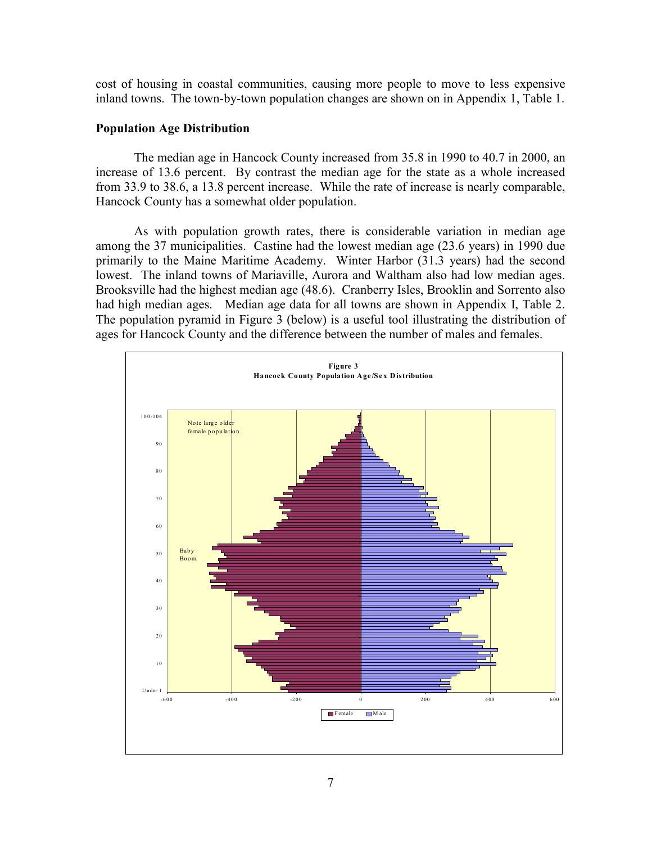cost of housing in coastal communities, causing more people to move to less expensive inland towns. The town-by-town population changes are shown on in Appendix 1, Table 1.

#### **Population Age Distribution**

The median age in Hancock County increased from 35.8 in 1990 to 40.7 in 2000, an increase of 13.6 percent. By contrast the median age for the state as a whole increased from 33.9 to 38.6, a 13.8 percent increase. While the rate of increase is nearly comparable, Hancock County has a somewhat older population.

As with population growth rates, there is considerable variation in median age among the 37 municipalities. Castine had the lowest median age (23.6 years) in 1990 due primarily to the Maine Maritime Academy. Winter Harbor (31.3 years) had the second lowest. The inland towns of Mariaville, Aurora and Waltham also had low median ages. Brooksville had the highest median age (48.6). Cranberry Isles, Brooklin and Sorrento also had high median ages. Median age data for all towns are shown in Appendix I, Table 2. The population pyramid in Figure 3 (below) is a useful tool illustrating the distribution of ages for Hancock County and the difference between the number of males and females.

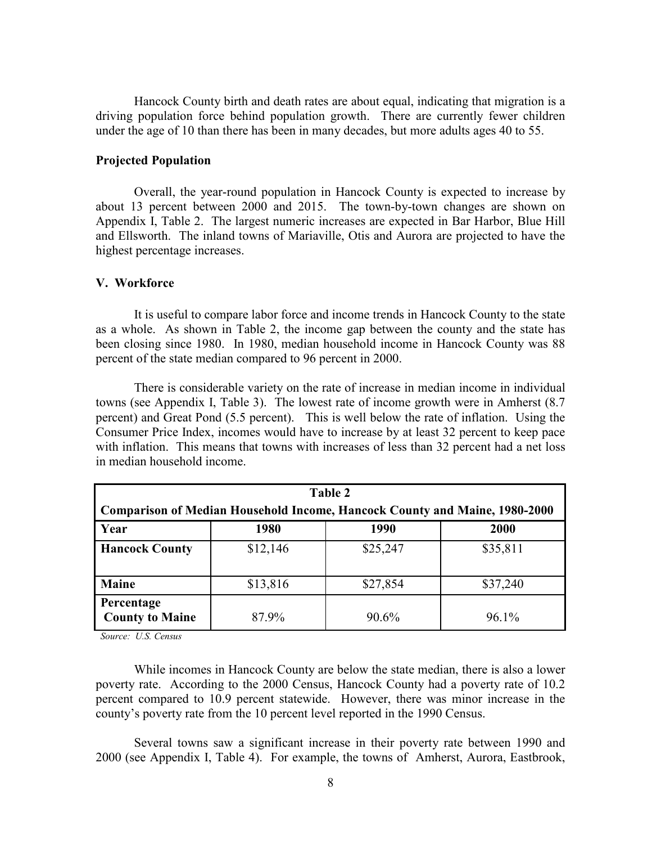Hancock County birth and death rates are about equal, indicating that migration is a driving population force behind population growth. There are currently fewer children under the age of 10 than there has been in many decades, but more adults ages 40 to 55.

#### **Projected Population**

Overall, the year-round population in Hancock County is expected to increase by about 13 percent between 2000 and 2015. The town-by-town changes are shown on Appendix I, Table 2. The largest numeric increases are expected in Bar Harbor, Blue Hill and Ellsworth. The inland towns of Mariaville, Otis and Aurora are projected to have the highest percentage increases.

#### V. Workforce

It is useful to compare labor force and income trends in Hancock County to the state as a whole. As shown in Table 2, the income gap between the county and the state has been closing since 1980. In 1980, median household income in Hancock County was 88 percent of the state median compared to 96 percent in 2000.

There is considerable variety on the rate of increase in median income in individual towns (see Appendix I, Table 3). The lowest rate of income growth were in Amherst (8.7) percent) and Great Pond (5.5 percent). This is well below the rate of inflation. Using the Consumer Price Index, incomes would have to increase by at least 32 percent to keep pace with inflation. This means that towns with increases of less than 32 percent had a net loss in median household income.

| Table 2                                                                    |          |          |          |  |  |  |  |  |
|----------------------------------------------------------------------------|----------|----------|----------|--|--|--|--|--|
| Comparison of Median Household Income, Hancock County and Maine, 1980-2000 |          |          |          |  |  |  |  |  |
| Year<br>2000<br>1980<br>1990                                               |          |          |          |  |  |  |  |  |
| <b>Hancock County</b>                                                      | \$12,146 | \$25,247 | \$35,811 |  |  |  |  |  |
| <b>Maine</b>                                                               | \$13,816 | \$27,854 | \$37,240 |  |  |  |  |  |
| Percentage<br><b>County to Maine</b>                                       | 87.9%    | 90.6%    | $96.1\%$ |  |  |  |  |  |

Source: U.S. Census

While incomes in Hancock County are below the state median, there is also a lower poverty rate. According to the 2000 Census, Hancock County had a poverty rate of 10.2 percent compared to 10.9 percent statewide. However, there was minor increase in the county's poverty rate from the 10 percent level reported in the 1990 Census.

Several towns saw a significant increase in their poverty rate between 1990 and 2000 (see Appendix I, Table 4). For example, the towns of Amherst, Aurora, Eastbrook,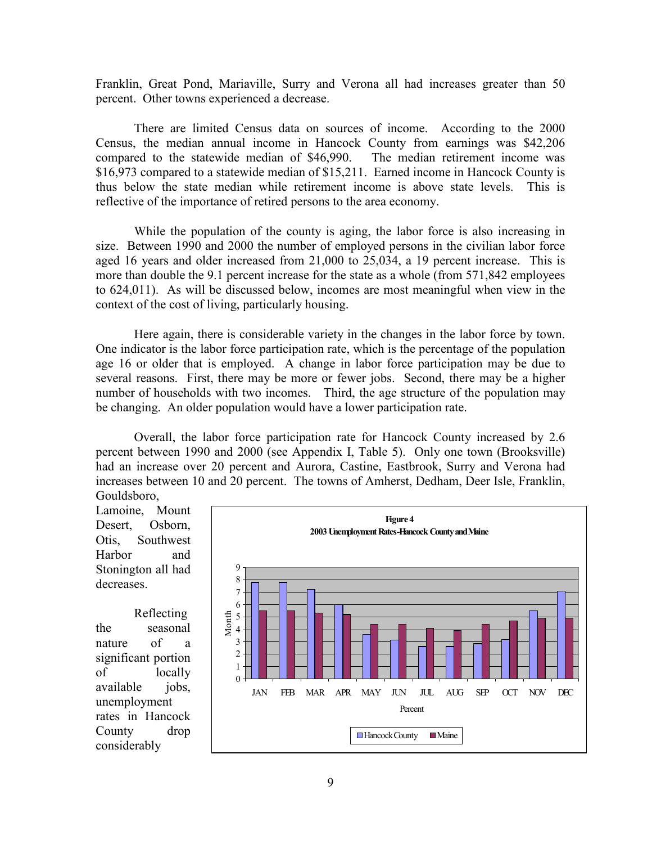Franklin, Great Pond, Mariaville, Surry and Verona all had increases greater than 50 percent. Other towns experienced a decrease.

There are limited Census data on sources of income. According to the 2000 Census, the median annual income in Hancock County from earnings was \$42,206 compared to the statewide median of \$46,990. The median retirement income was \$16,973 compared to a statewide median of \$15,211. Earned income in Hancock County is thus below the state median while retirement income is above state levels. This is reflective of the importance of retired persons to the area economy.

While the population of the county is aging, the labor force is also increasing in size. Between 1990 and 2000 the number of employed persons in the civilian labor force aged 16 years and older increased from 21,000 to 25,034, a 19 percent increase. This is more than double the 9.1 percent increase for the state as a whole (from 571,842 employees to 624,011). As will be discussed below, incomes are most meaningful when view in the context of the cost of living, particularly housing.

Here again, there is considerable variety in the changes in the labor force by town. One indicator is the labor force participation rate, which is the percentage of the population age 16 or older that is employed. A change in labor force participation may be due to several reasons. First, there may be more or fewer jobs. Second, there may be a higher number of households with two incomes. Third, the age structure of the population may be changing. An older population would have a lower participation rate.

Overall, the labor force participation rate for Hancock County increased by 2.6 percent between 1990 and 2000 (see Appendix I, Table 5). Only one town (Brooksville) had an increase over 20 percent and Aurora, Castine, Eastbrook, Surry and Verona had increases between 10 and 20 percent. The towns of Amherst, Dedham, Deer Isle, Franklin, Gouldsboro.

Lamoine, Mount Osborn. Desert. Otis. Southwest Harbor and Stonington all had decreases.

Reflecting the seasonal nature of a significant portion  $\alpha$ f locally available jobs, unemployment rates in Hancock County drop considerably

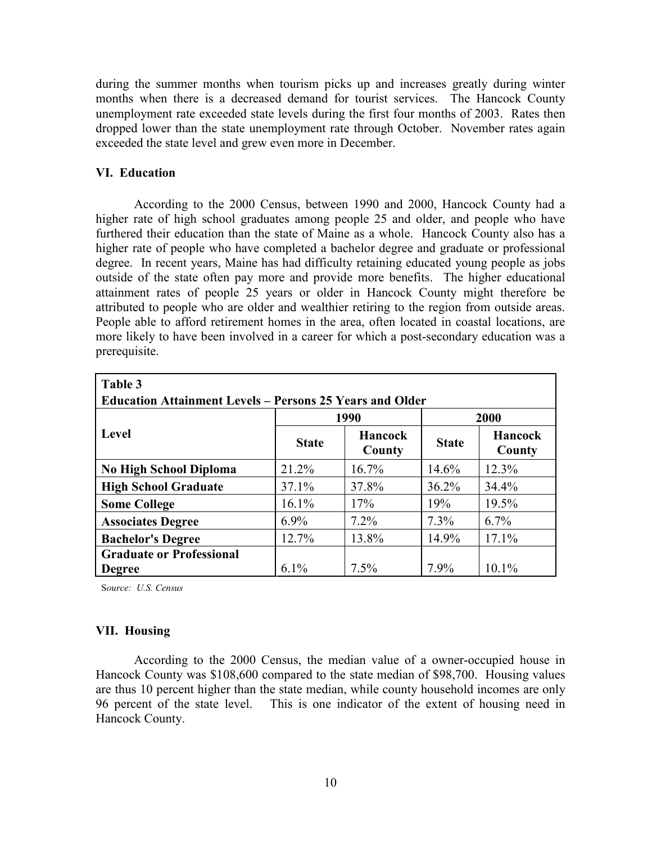during the summer months when tourism picks up and increases greatly during winter months when there is a decreased demand for tourist services. The Hancock County unemployment rate exceeded state levels during the first four months of 2003. Rates then dropped lower than the state unemployment rate through October. November rates again exceeded the state level and grew even more in December.

#### **VI. Education**

According to the 2000 Census, between 1990 and 2000, Hancock County had a higher rate of high school graduates among people 25 and older, and people who have furthered their education than the state of Maine as a whole. Hancock County also has a higher rate of people who have completed a bachelor degree and graduate or professional degree. In recent years, Maine has had difficulty retaining educated young people as jobs outside of the state often pay more and provide more benefits. The higher educational attainment rates of people 25 years or older in Hancock County might therefore be attributed to people who are older and wealthier retiring to the region from outside areas. People able to afford retirement homes in the area, often located in coastal locations, are more likely to have been involved in a career for which a post-secondary education was a prerequisite.

| Table 3                                                         |              |                          |              |                          |  |  |  |
|-----------------------------------------------------------------|--------------|--------------------------|--------------|--------------------------|--|--|--|
| <b>Education Attainment Levels – Persons 25 Years and Older</b> |              |                          |              |                          |  |  |  |
|                                                                 |              | 1990                     | 2000         |                          |  |  |  |
| <b>Level</b>                                                    | <b>State</b> | <b>Hancock</b><br>County | <b>State</b> | <b>Hancock</b><br>County |  |  |  |
| <b>No High School Diploma</b>                                   | 21.2%        | 16.7%                    | 14.6%        | 12.3%                    |  |  |  |
| <b>High School Graduate</b>                                     | $37.1\%$     | 37.8%                    | 36.2%        | 34.4%                    |  |  |  |
| <b>Some College</b>                                             | 16.1%        | 17%                      | 19%          | 19.5%                    |  |  |  |
| <b>Associates Degree</b>                                        | $6.9\%$      | $7.2\%$                  | 7.3%         | 6.7%                     |  |  |  |
| <b>Bachelor's Degree</b>                                        | 12.7%        | 13.8%                    | 14.9%        | 17.1%                    |  |  |  |
| <b>Graduate or Professional</b>                                 |              |                          |              |                          |  |  |  |
| <b>Degree</b>                                                   | 6.1%         | 7.5%                     | 7.9%         | 10.1%                    |  |  |  |

Source: U.S. Census

#### **VII. Housing**

According to the 2000 Census, the median value of a owner-occupied house in Hancock County was \$108,600 compared to the state median of \$98,700. Housing values are thus 10 percent higher than the state median, while county household incomes are only 96 percent of the state level. This is one indicator of the extent of housing need in Hancock County.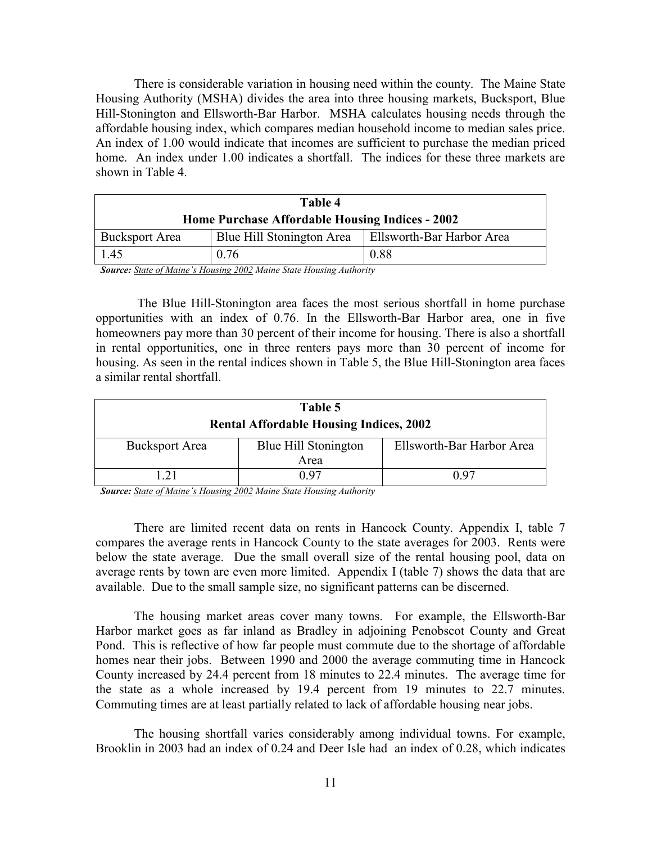There is considerable variation in housing need within the county. The Maine State Housing Authority (MSHA) divides the area into three housing markets, Bucksport, Blue Hill-Stonington and Ellsworth-Bar Harbor. MSHA calculates housing needs through the affordable housing index, which compares median household income to median sales price. An index of 1.00 would indicate that incomes are sufficient to purchase the median priced home. An index under 1.00 indicates a shortfall. The indices for these three markets are shown in Table 4

| Table 4                                                |                           |                                  |  |  |  |  |
|--------------------------------------------------------|---------------------------|----------------------------------|--|--|--|--|
| <b>Home Purchase Affordable Housing Indices - 2002</b> |                           |                                  |  |  |  |  |
| <b>Bucksport Area</b>                                  | Blue Hill Stonington Area | <b>Ellsworth-Bar Harbor Area</b> |  |  |  |  |
| 1.45                                                   | 0.76                      | 0.88                             |  |  |  |  |

**Source:** State of Maine's Housing 2002 Maine State Housing Authority

The Blue Hill-Stonington area faces the most serious shortfall in home purchase opportunities with an index of 0.76. In the Ellsworth-Bar Harbor area, one in five homeowners pay more than 30 percent of their income for housing. There is also a shortfall in rental opportunities, one in three renters pays more than 30 percent of income for housing. As seen in the rental indices shown in Table 5, the Blue Hill-Stonington area faces a similar rental shortfall

| Table 5                                        |                              |                           |  |  |  |  |  |  |
|------------------------------------------------|------------------------------|---------------------------|--|--|--|--|--|--|
| <b>Rental Affordable Housing Indices, 2002</b> |                              |                           |  |  |  |  |  |  |
| <b>Bucksport Area</b>                          | Blue Hill Stonington<br>Area | Ellsworth-Bar Harbor Area |  |  |  |  |  |  |
| l 21                                           | 0.97                         | በ ዓ7                      |  |  |  |  |  |  |

Source: State of Maine's Housing 2002 Maine State Housing Authority

There are limited recent data on rents in Hancock County. Appendix I, table 7 compares the average rents in Hancock County to the state averages for 2003. Rents were below the state average. Due the small overall size of the rental housing pool, data on average rents by town are even more limited. Appendix I (table 7) shows the data that are available. Due to the small sample size, no significant patterns can be discerned.

The housing market areas cover many towns. For example, the Ellsworth-Bar Harbor market goes as far inland as Bradley in adjoining Penobscot County and Great Pond. This is reflective of how far people must commute due to the shortage of affordable homes near their jobs. Between 1990 and 2000 the average commuting time in Hancock County increased by 24.4 percent from 18 minutes to 22.4 minutes. The average time for the state as a whole increased by 19.4 percent from 19 minutes to 22.7 minutes. Commuting times are at least partially related to lack of affordable housing near jobs.

The housing shortfall varies considerably among individual towns. For example, Brooklin in 2003 had an index of 0.24 and Deer Isle had an index of 0.28, which indicates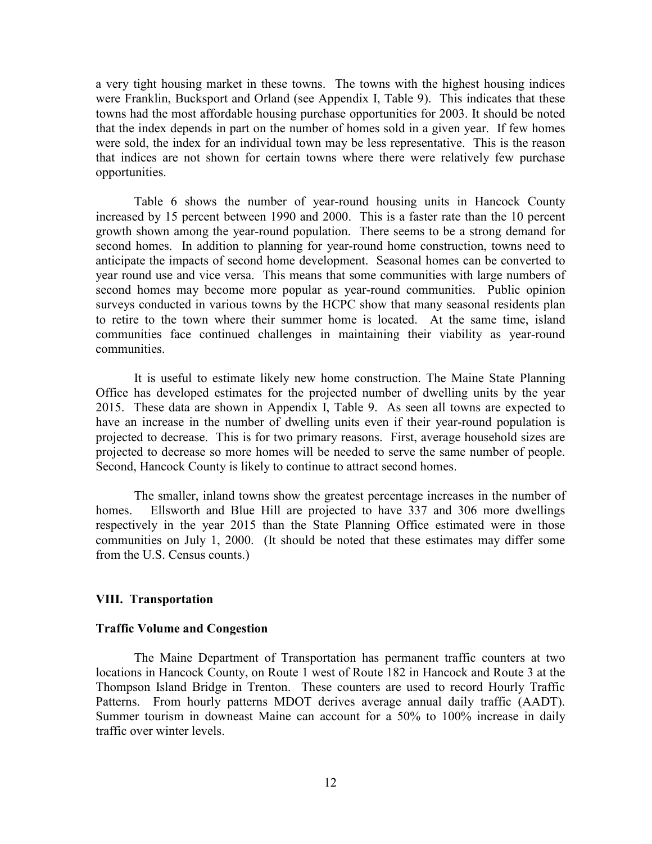a very tight housing market in these towns. The towns with the highest housing indices were Franklin, Bucksport and Orland (see Appendix I, Table 9). This indicates that these towns had the most affordable housing purchase opportunities for 2003. It should be noted that the index depends in part on the number of homes sold in a given year. If few homes were sold, the index for an individual town may be less representative. This is the reason that indices are not shown for certain towns where there were relatively few purchase opportunities.

Table 6 shows the number of year-round housing units in Hancock County increased by 15 percent between 1990 and 2000. This is a faster rate than the 10 percent growth shown among the year-round population. There seems to be a strong demand for second homes. In addition to planning for year-round home construction, towns need to anticipate the impacts of second home development. Seasonal homes can be converted to year round use and vice versa. This means that some communities with large numbers of second homes may become more popular as year-round communities. Public opinion surveys conducted in various towns by the HCPC show that many seasonal residents plan to retire to the town where their summer home is located. At the same time, island communities face continued challenges in maintaining their viability as year-round communities.

It is useful to estimate likely new home construction. The Maine State Planning Office has developed estimates for the projected number of dwelling units by the year 2015. These data are shown in Appendix I, Table 9. As seen all towns are expected to have an increase in the number of dwelling units even if their year-round population is projected to decrease. This is for two primary reasons. First, average household sizes are projected to decrease so more homes will be needed to serve the same number of people. Second, Hancock County is likely to continue to attract second homes.

The smaller, inland towns show the greatest percentage increases in the number of Ellsworth and Blue Hill are projected to have 337 and 306 more dwellings homes. respectively in the year 2015 than the State Planning Office estimated were in those communities on July 1, 2000. (It should be noted that these estimates may differ some from the U.S. Census counts.)

#### **VIII. Transportation**

#### **Traffic Volume and Congestion**

The Maine Department of Transportation has permanent traffic counters at two locations in Hancock County, on Route 1 west of Route 182 in Hancock and Route 3 at the Thompson Island Bridge in Trenton. These counters are used to record Hourly Traffic Patterns. From hourly patterns MDOT derives average annual daily traffic (AADT). Summer tourism in downeast Maine can account for a 50% to 100% increase in daily traffic over winter levels.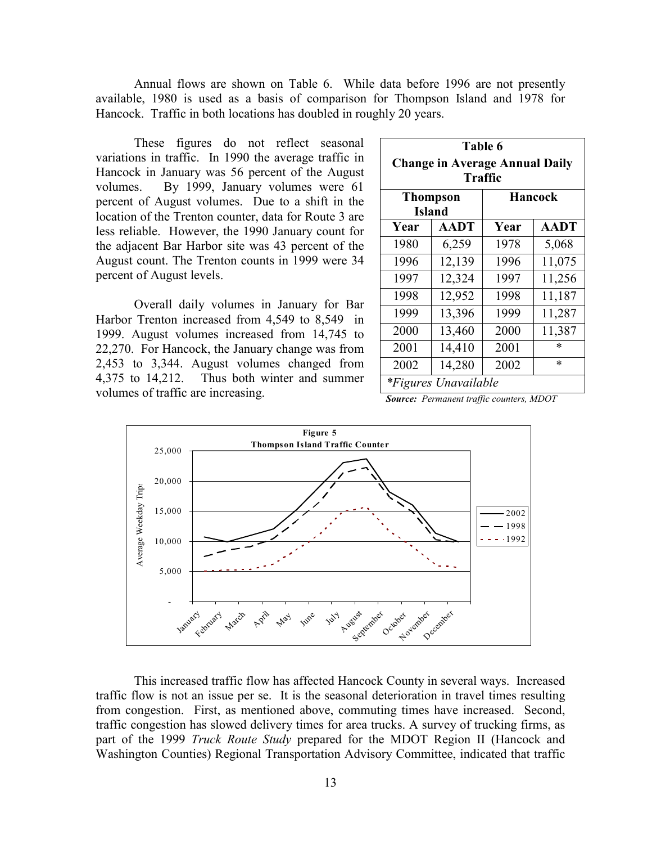Annual flows are shown on Table 6. While data before 1996 are not presently available, 1980 is used as a basis of comparison for Thompson Island and 1978 for Hancock. Traffic in both locations has doubled in roughly 20 years.

These figures do not reflect seasonal variations in traffic. In 1990 the average traffic in Hancock in January was 56 percent of the August By 1999, January volumes were 61 volumes. percent of August volumes. Due to a shift in the location of the Trenton counter, data for Route 3 are less reliable. However, the 1990 January count for the adjacent Bar Harbor site was 43 percent of the August count. The Trenton counts in 1999 were 34 percent of August levels.

Overall daily volumes in January for Bar Harbor Trenton increased from 4,549 to 8,549 in 1999. August volumes increased from 14,745 to 22,270. For Hancock, the January change was from 2,453 to 3,344. August volumes changed from Thus both winter and summer 4,375 to 14,212. volumes of traffic are increasing.

| Table 6<br><b>Change in Average Annual Daily</b><br><b>Traffic</b> |                       |      |             |  |  |  |  |
|--------------------------------------------------------------------|-----------------------|------|-------------|--|--|--|--|
|                                                                    | <b>Thompson</b>       |      | Hancock     |  |  |  |  |
| Year                                                               | <b>Island</b><br>AADT | Year | <b>AADT</b> |  |  |  |  |
| 1980                                                               | 6,259                 | 1978 | 5,068       |  |  |  |  |
| 1996                                                               |                       | 1996 |             |  |  |  |  |
|                                                                    | 12,139                |      | 11,075      |  |  |  |  |
| 1997                                                               | 12,324                | 1997 | 11,256      |  |  |  |  |
| 1998                                                               | 12,952                | 1998 | 11,187      |  |  |  |  |
| 1999                                                               | 13,396                | 1999 | 11,287      |  |  |  |  |
| 2000                                                               | 13,460                | 2000 | 11,387      |  |  |  |  |
| 2001                                                               | 14,410                | 2001 | $\ast$      |  |  |  |  |
| 2002                                                               | 14,280                | 2002 | $\ast$      |  |  |  |  |
| <i>*Figures Unavailable</i>                                        |                       |      |             |  |  |  |  |

**Source:** Permanent traffic counters, MDOT



This increased traffic flow has affected Hancock County in several ways. Increased traffic flow is not an issue per se. It is the seasonal deterioration in travel times resulting from congestion. First, as mentioned above, commuting times have increased. Second, traffic congestion has slowed delivery times for area trucks. A survey of trucking firms, as part of the 1999 Truck Route Study prepared for the MDOT Region II (Hancock and Washington Counties) Regional Transportation Advisory Committee, indicated that traffic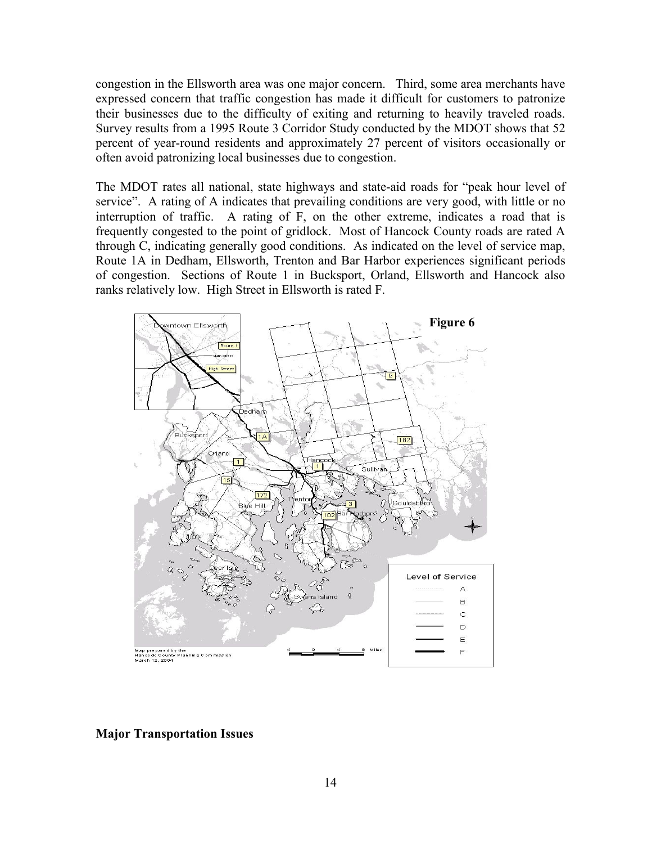congestion in the Ellsworth area was one major concern. Third, some area merchants have expressed concern that traffic congestion has made it difficult for customers to patronize their businesses due to the difficulty of exiting and returning to heavily traveled roads. Survey results from a 1995 Route 3 Corridor Study conducted by the MDOT shows that 52 percent of year-round residents and approximately 27 percent of visitors occasionally or often avoid patronizing local businesses due to congestion.

The MDOT rates all national, state highways and state-aid roads for "peak hour level of service". A rating of A indicates that prevailing conditions are very good, with little or no interruption of traffic. A rating of F, on the other extreme, indicates a road that is frequently congested to the point of gridlock. Most of Hancock County roads are rated A through C, indicating generally good conditions. As indicated on the level of service map, Route 1A in Dedham, Ellsworth, Trenton and Bar Harbor experiences significant periods of congestion. Sections of Route 1 in Bucksport, Orland, Ellsworth and Hancock also ranks relatively low. High Street in Ellsworth is rated F.



#### **Major Transportation Issues**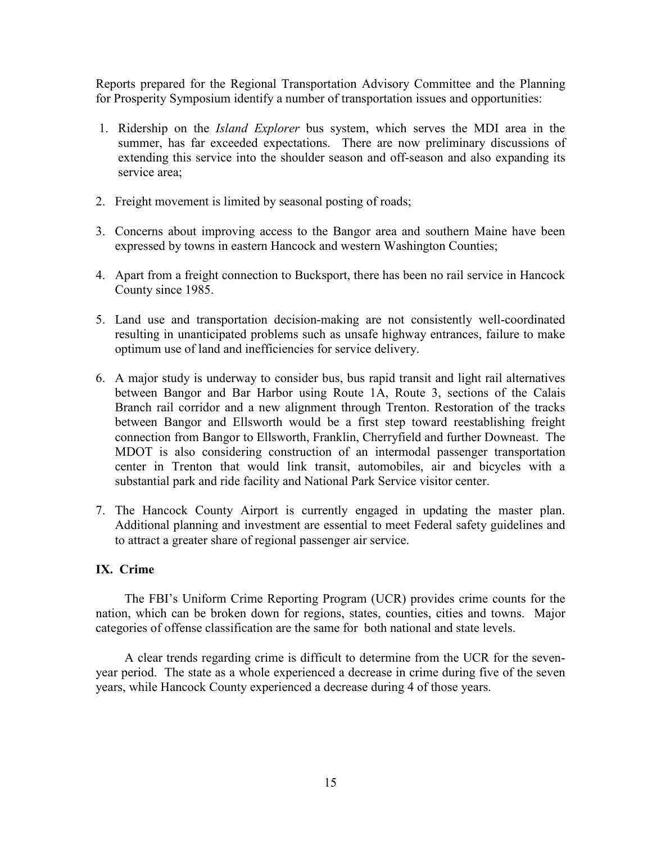Reports prepared for the Regional Transportation Advisory Committee and the Planning for Prosperity Symposium identify a number of transportation issues and opportunities:

- 1. Ridership on the *Island Explorer* bus system, which serves the MDI area in the summer, has far exceeded expectations. There are now preliminary discussions of extending this service into the shoulder season and off-season and also expanding its service area:
- 2. Freight movement is limited by seasonal posting of roads;
- 3. Concerns about improving access to the Bangor area and southern Maine have been expressed by towns in eastern Hancock and western Washington Counties;
- 4. Apart from a freight connection to Bucksport, there has been no rail service in Hancock County since 1985.
- 5. Land use and transportation decision-making are not consistently well-coordinated resulting in unanticipated problems such as unsafe highway entrances, failure to make optimum use of land and inefficiencies for service delivery.
- 6. A major study is underway to consider bus, bus rapid transit and light rail alternatives between Bangor and Bar Harbor using Route 1A, Route 3, sections of the Calais Branch rail corridor and a new alignment through Trenton. Restoration of the tracks between Bangor and Ellsworth would be a first step toward reestablishing freight connection from Bangor to Ellsworth, Franklin, Cherryfield and further Downeast. The MDOT is also considering construction of an intermodal passenger transportation center in Trenton that would link transit, automobiles, air and bicycles with a substantial park and ride facility and National Park Service visitor center.
- 7. The Hancock County Airport is currently engaged in updating the master plan. Additional planning and investment are essential to meet Federal safety guidelines and to attract a greater share of regional passenger air service.

#### IX. Crime

The FBI's Uniform Crime Reporting Program (UCR) provides crime counts for the nation, which can be broken down for regions, states, counties, cities and towns. Major categories of offense classification are the same for both national and state levels.

A clear trends regarding crime is difficult to determine from the UCR for the sevenyear period. The state as a whole experienced a decrease in crime during five of the seven years, while Hancock County experienced a decrease during 4 of those years.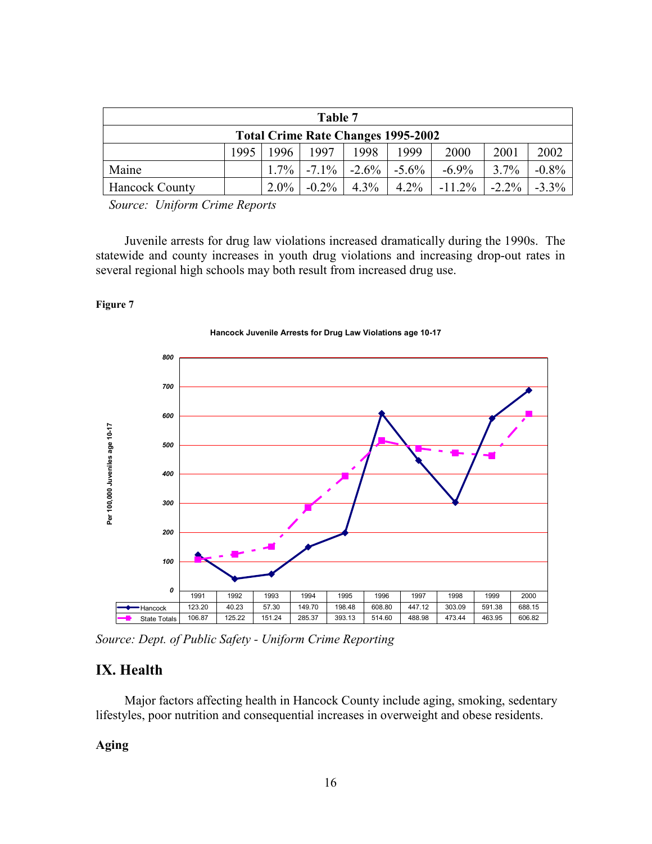| Table 7                                   |                                                              |         |          |          |             |           |          |          |
|-------------------------------------------|--------------------------------------------------------------|---------|----------|----------|-------------|-----------|----------|----------|
| <b>Total Crime Rate Changes 1995-2002</b> |                                                              |         |          |          |             |           |          |          |
|                                           | 1995<br>2000<br>2001<br>1996<br>1997<br>1998<br>1999<br>2002 |         |          |          |             |           |          |          |
| Maine                                     |                                                              | $1.7\%$ | $-7.1\%$ | $-2.6\%$ | $1 - 5.6\%$ | $-6.9\%$  | $3.7\%$  | $-0.8\%$ |
| <b>Hancock County</b>                     |                                                              | $2.0\%$ | $-0.2\%$ | $4.3\%$  | $4.2\%$     | $-11.2\%$ | $-2.2\%$ | $-3.3\%$ |

Source: Uniform Crime Reports

Juvenile arrests for drug law violations increased dramatically during the 1990s. The statewide and county increases in youth drug violations and increasing drop-out rates in several regional high schools may both result from increased drug use.

Figure 7



Source: Dept. of Public Safety - Uniform Crime Reporting

## IX. Health

Major factors affecting health in Hancock County include aging, smoking, sedentary lifestyles, poor nutrition and consequential increases in overweight and obese residents.

## **Aging**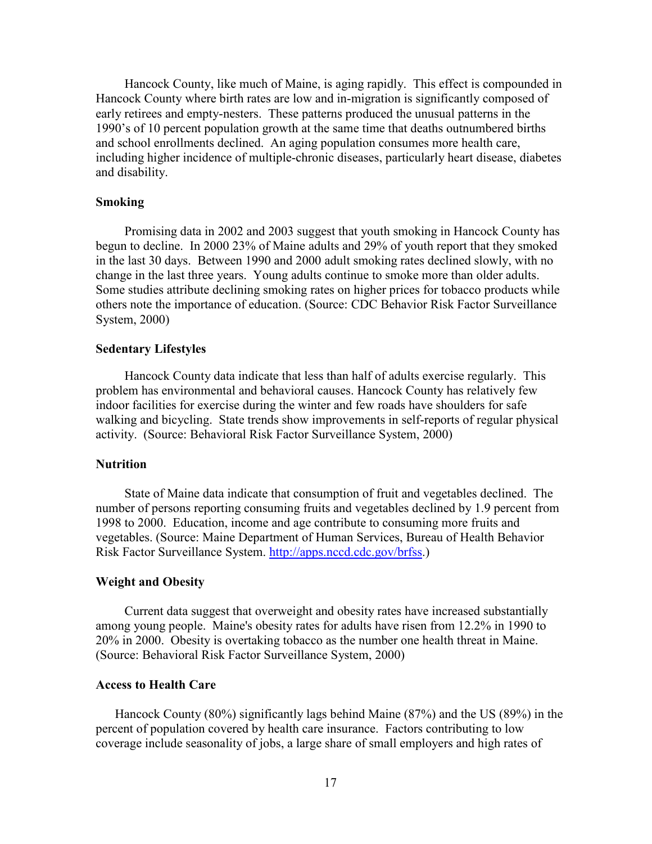Hancock County, like much of Maine, is aging rapidly. This effect is compounded in Hancock County where birth rates are low and in-migration is significantly composed of early retirees and empty-nesters. These patterns produced the unusual patterns in the 1990's of 10 percent population growth at the same time that deaths outnumbered births and school enrollments declined. An aging population consumes more health care, including higher incidence of multiple-chronic diseases, particularly heart disease, diabetes and disability.

#### **Smoking**

Promising data in 2002 and 2003 suggest that youth smoking in Hancock County has begun to decline. In 2000 23% of Maine adults and 29% of youth report that they smoked in the last 30 days. Between 1990 and 2000 adult smoking rates declined slowly, with no change in the last three years. Young adults continue to smoke more than older adults. Some studies attribute declining smoking rates on higher prices for tobacco products while others note the importance of education. (Source: CDC Behavior Risk Factor Surveillance System, 2000)

#### **Sedentary Lifestyles**

Hancock County data indicate that less than half of adults exercise regularly. This problem has environmental and behavioral causes. Hancock County has relatively few indoor facilities for exercise during the winter and few roads have shoulders for safe walking and bicycling. State trends show improvements in self-reports of regular physical activity. (Source: Behavioral Risk Factor Surveillance System, 2000)

#### **Nutrition**

State of Maine data indicate that consumption of fruit and vegetables declined. The number of persons reporting consuming fruits and vegetables declined by 1.9 percent from 1998 to 2000. Education, income and age contribute to consuming more fruits and vegetables. (Source: Maine Department of Human Services, Bureau of Health Behavior Risk Factor Surveillance System. http://apps.nccd.cdc.gov/brfss.)

#### **Weight and Obesity**

Current data suggest that overweight and obesity rates have increased substantially among young people. Maine's obesity rates for adults have risen from 12.2% in 1990 to 20% in 2000. Obesity is overtaking tobacco as the number one health threat in Maine. (Source: Behavioral Risk Factor Surveillance System, 2000)

#### **Access to Health Care**

Hancock County (80%) significantly lags behind Maine (87%) and the US (89%) in the percent of population covered by health care insurance. Factors contributing to low coverage include seasonality of jobs, a large share of small employers and high rates of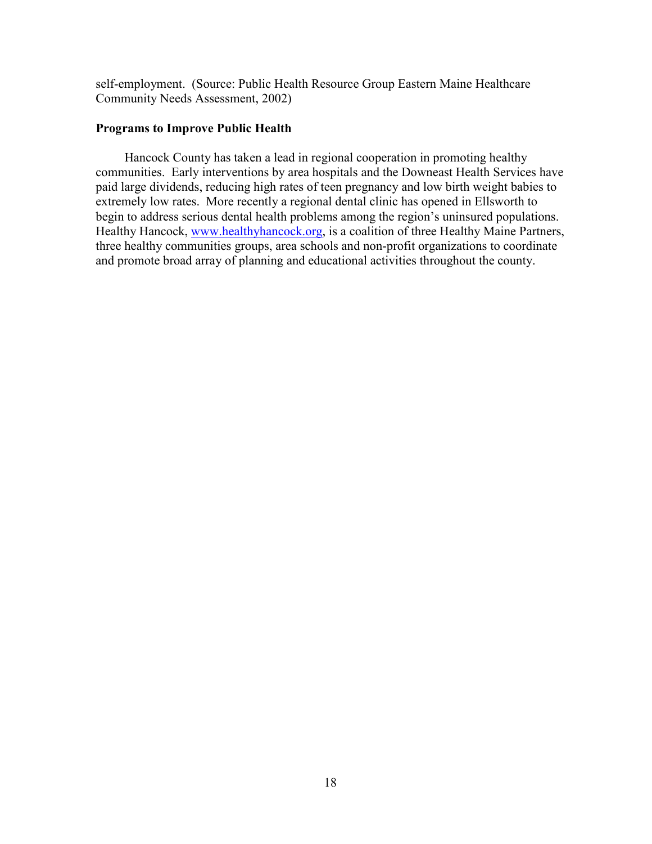self-employment. (Source: Public Health Resource Group Eastern Maine Healthcare Community Needs Assessment, 2002)

#### **Programs to Improve Public Health**

Hancock County has taken a lead in regional cooperation in promoting healthy communities. Early interventions by area hospitals and the Downeast Health Services have paid large dividends, reducing high rates of teen pregnancy and low birth weight babies to extremely low rates. More recently a regional dental clinic has opened in Ellsworth to begin to address serious dental health problems among the region's uninsured populations. Healthy Hancock, www.healthyhancock.org, is a coalition of three Healthy Maine Partners, three healthy communities groups, area schools and non-profit organizations to coordinate and promote broad array of planning and educational activities throughout the county.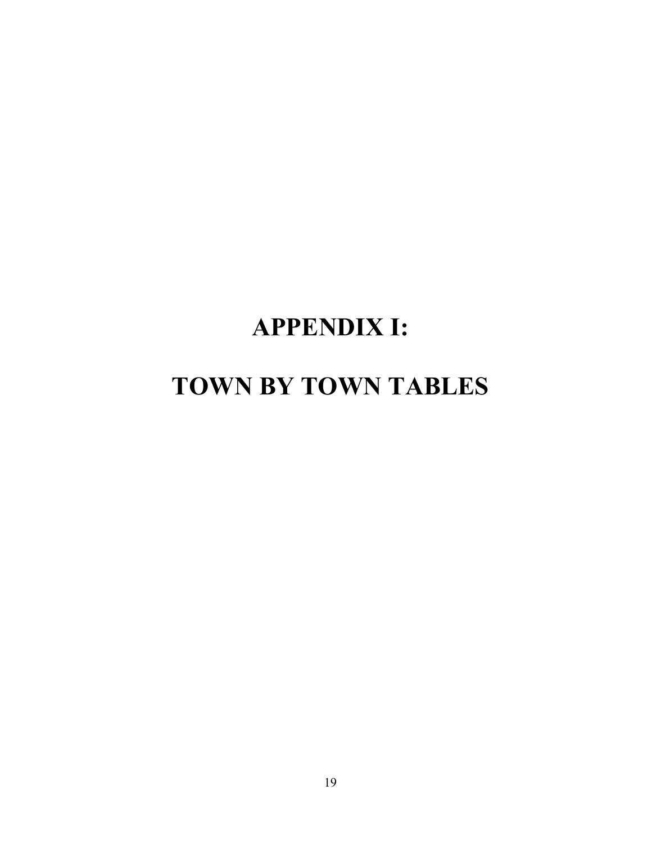# **APPENDIX I:**

# TOWN BY TOWN TABLES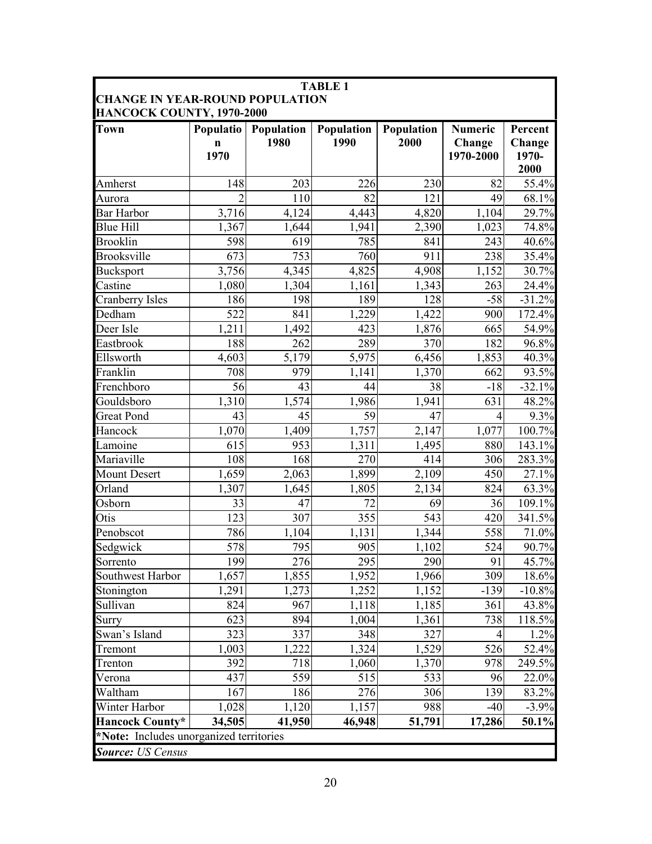| <b>CHANGE IN YEAR-ROUND POPULATION</b><br>HANCOCK COUNTY, 1970-2000<br>Population<br>Population<br>Population<br><b>Town</b><br><b>Populatio</b><br><b>Numeric</b><br>1980<br>1990<br>2000<br>Change<br>n<br>1970<br>1970-2000<br>148<br>203<br>226<br>82<br>Amherst<br>230<br>110<br>82<br>121<br>$\overline{2}$<br>49<br>Aurora<br><b>Bar Harbor</b><br>3,716<br>4,124<br>4,443<br>4,820<br>1,104 | Percent<br>Change<br>1970-<br>2000 |
|-----------------------------------------------------------------------------------------------------------------------------------------------------------------------------------------------------------------------------------------------------------------------------------------------------------------------------------------------------------------------------------------------------|------------------------------------|
|                                                                                                                                                                                                                                                                                                                                                                                                     |                                    |
|                                                                                                                                                                                                                                                                                                                                                                                                     | 55.4%                              |
|                                                                                                                                                                                                                                                                                                                                                                                                     |                                    |
|                                                                                                                                                                                                                                                                                                                                                                                                     |                                    |
|                                                                                                                                                                                                                                                                                                                                                                                                     |                                    |
|                                                                                                                                                                                                                                                                                                                                                                                                     | 68.1%                              |
|                                                                                                                                                                                                                                                                                                                                                                                                     | 29.7%<br>74.8%<br>40.6%            |
|                                                                                                                                                                                                                                                                                                                                                                                                     |                                    |
| <b>Blue Hill</b><br>1,367<br>1,644<br>1,941<br>2,390<br>1,023                                                                                                                                                                                                                                                                                                                                       |                                    |
| 598<br>785<br><b>Brooklin</b><br>619<br>841<br>243                                                                                                                                                                                                                                                                                                                                                  |                                    |
| <b>Brooksville</b><br>753<br>238<br>673<br>760<br>911                                                                                                                                                                                                                                                                                                                                               | 35.4%                              |
| 3,756<br>4,345<br><b>Bucksport</b><br>4,825<br>4,908<br>1,152                                                                                                                                                                                                                                                                                                                                       | 30.7%                              |
| Castine<br>1,080<br>1,304<br>1,161<br>1,343<br>263                                                                                                                                                                                                                                                                                                                                                  | 24.4%                              |
| 128<br>Cranberry Isles<br>186<br>198<br>189<br>$-58$                                                                                                                                                                                                                                                                                                                                                | $-31.2%$                           |
| 522<br>841<br>Dedham<br>1,229<br>1,422<br>900                                                                                                                                                                                                                                                                                                                                                       | 172.4%                             |
| Deer Isle<br>1,211<br>423<br>1,492<br>1,876<br>665                                                                                                                                                                                                                                                                                                                                                  | 54.9%                              |
| Eastbrook<br>188<br>289<br>262<br>370<br>182                                                                                                                                                                                                                                                                                                                                                        | 96.8%                              |
| 5,179<br>6,456<br>Ellsworth<br>4,603<br>5,975<br>1,853                                                                                                                                                                                                                                                                                                                                              | 40.3%                              |
| Franklin<br>708<br>979<br>1,370<br>662<br>1,141                                                                                                                                                                                                                                                                                                                                                     | 93.5%                              |
| Frenchboro<br>56<br>43<br>38<br>$-18$<br>44                                                                                                                                                                                                                                                                                                                                                         | $-32.1%$                           |
| 1,574<br>Gouldsboro<br>1,310<br>1,986<br>1,941<br>631                                                                                                                                                                                                                                                                                                                                               | 48.2%                              |
| <b>Great Pond</b><br>43<br>45<br>59<br>47<br>$\overline{4}$                                                                                                                                                                                                                                                                                                                                         | 9.3%                               |
| Hancock<br>1,070<br>1,409<br>1,757<br>2,147<br>1,077                                                                                                                                                                                                                                                                                                                                                | 100.7%                             |
| 615<br>953<br>1,311<br>880<br>Lamoine<br>1,495                                                                                                                                                                                                                                                                                                                                                      | 143.1%                             |
| 108<br>168<br>270<br>414<br>306<br>Mariaville                                                                                                                                                                                                                                                                                                                                                       | 283.3%                             |
| 2,063<br><b>Mount Desert</b><br>1,659<br>1,899<br>2,109<br>450                                                                                                                                                                                                                                                                                                                                      | 27.1%                              |
| Orland<br>824<br>1,307<br>1,645<br>1,805<br>2,134                                                                                                                                                                                                                                                                                                                                                   | 63.3%                              |
| 33<br>47<br>72<br>Osborn<br>69<br>36                                                                                                                                                                                                                                                                                                                                                                | 109.1%                             |
| Otis<br>123<br>307<br>355<br>543<br>420                                                                                                                                                                                                                                                                                                                                                             | 341.5%                             |
| 558<br>Penobscot<br>786<br>1,104<br>1,131<br>1,344                                                                                                                                                                                                                                                                                                                                                  | 71.0%                              |
| 578<br>Sedgwick<br>795<br>905<br>1,102<br>524                                                                                                                                                                                                                                                                                                                                                       | 90.7%                              |
| 199<br>295<br>290<br>276<br>91<br>Sorrento                                                                                                                                                                                                                                                                                                                                                          | 45.7%                              |
| 309<br>1,657<br>1,855<br>1,952<br>1,966<br>Southwest Harbor                                                                                                                                                                                                                                                                                                                                         | 18.6%                              |
| 1,291<br>1,273<br>1,252<br>1,152<br>$-139$<br>Stonington                                                                                                                                                                                                                                                                                                                                            | $-10.8%$                           |
| Sullivan<br>824<br>967<br>1,118<br>1,185<br>361                                                                                                                                                                                                                                                                                                                                                     | 43.8%                              |
| 623<br>894<br>1,004<br>1,361<br>738<br>Surry                                                                                                                                                                                                                                                                                                                                                        | 118.5%                             |
| Swan's Island<br>323<br>337<br>348<br>327<br>4                                                                                                                                                                                                                                                                                                                                                      | 1.2%                               |
| 1,222<br>526<br>1,529<br>1,003<br>1,324<br>Tremont                                                                                                                                                                                                                                                                                                                                                  | 52.4%                              |
| 392<br>718<br>978<br>1,060<br>1,370<br>Trenton                                                                                                                                                                                                                                                                                                                                                      | 249.5%                             |
| 559<br>515<br>533<br>96<br>437<br>Verona                                                                                                                                                                                                                                                                                                                                                            | 22.0%                              |
| 186<br>276<br>Waltham<br>167<br>306<br>139                                                                                                                                                                                                                                                                                                                                                          | 83.2%                              |
| Winter Harbor<br>1,028<br>1,120<br>1,157<br>988<br>$-40$                                                                                                                                                                                                                                                                                                                                            | $-3.9%$                            |
| <b>Hancock County*</b><br>34,505<br>41,950<br>51,791<br>46,948<br>17,286                                                                                                                                                                                                                                                                                                                            | 50.1%                              |
| *Note: Includes unorganized territories                                                                                                                                                                                                                                                                                                                                                             |                                    |
| <b>Source:</b> US Census                                                                                                                                                                                                                                                                                                                                                                            |                                    |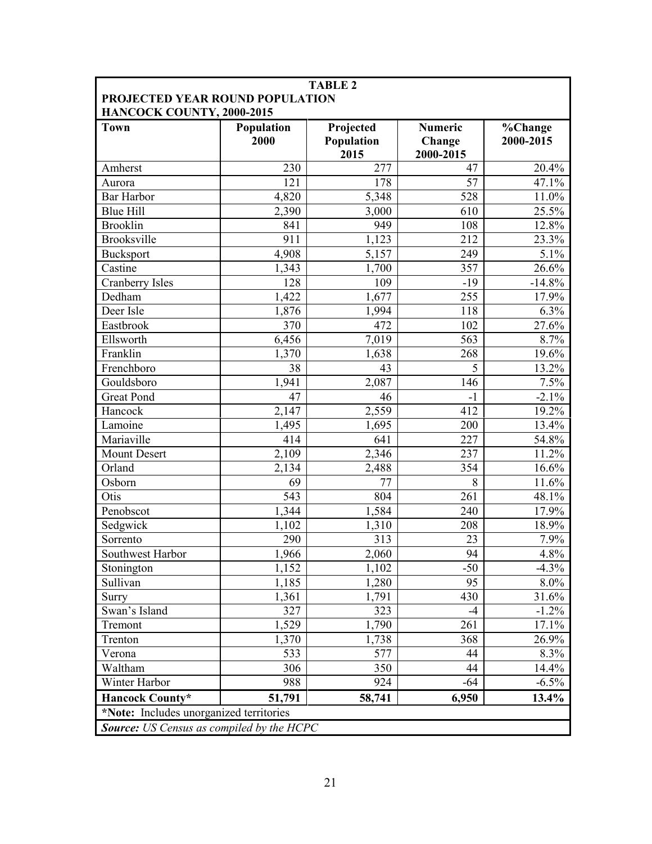| <b>TABLE 2</b><br>PROJECTED YEAR ROUND POPULATION<br>HANCOCK COUNTY, 2000-2015 |                    |                                 |                                       |                      |  |  |
|--------------------------------------------------------------------------------|--------------------|---------------------------------|---------------------------------------|----------------------|--|--|
| <b>Town</b>                                                                    | Population<br>2000 | Projected<br>Population<br>2015 | <b>Numeric</b><br>Change<br>2000-2015 | %Change<br>2000-2015 |  |  |
| Amherst                                                                        | 230                | 277                             | 47                                    | 20.4%                |  |  |
| Aurora                                                                         | 121                | 178                             | 57                                    | 47.1%                |  |  |
| <b>Bar Harbor</b>                                                              | 4,820              | 5,348                           | 528                                   | 11.0%                |  |  |
| <b>Blue Hill</b>                                                               | 2,390              | 3,000                           | 610                                   | 25.5%                |  |  |
| <b>Brooklin</b>                                                                | 841                | 949                             | 108                                   | 12.8%                |  |  |
| <b>Brooksville</b>                                                             | 911                | 1,123                           | 212                                   | 23.3%                |  |  |
| Bucksport                                                                      | 4,908              | $\overline{5,157}$              | 249                                   | 5.1%                 |  |  |
| Castine                                                                        | 1,343              | 1,700                           | 357                                   | 26.6%                |  |  |
| Cranberry Isles                                                                | 128                | 109                             | $-19$                                 | $-14.8%$             |  |  |
| Dedham                                                                         | 1,422              | 1,677                           | 255                                   | 17.9%                |  |  |
| Deer Isle                                                                      | 1,876              | 1,994                           | 118                                   | 6.3%                 |  |  |
| Eastbrook                                                                      | 370                | 472                             | 102                                   | 27.6%                |  |  |
| Ellsworth                                                                      | 6,456              | 7,019                           | 563                                   | 8.7%                 |  |  |
| Franklin                                                                       | 1,370              | 1,638                           | 268                                   | 19.6%                |  |  |
| Frenchboro                                                                     | $\overline{38}$    | 43                              | 5                                     | 13.2%                |  |  |
| Gouldsboro                                                                     | 1,941              | 2,087                           | 146                                   | 7.5%                 |  |  |
| <b>Great Pond</b>                                                              | 47                 | 46                              | $-1$                                  | $-2.1\%$             |  |  |
| Hancock                                                                        | 2,147              | 2,559                           | 412                                   | 19.2%                |  |  |
| Lamoine                                                                        | 1,495              | 1,695                           | 200                                   | 13.4%                |  |  |
| Mariaville                                                                     | 414                | 641                             | 227                                   | 54.8%                |  |  |
| <b>Mount Desert</b>                                                            | 2,109              | 2,346                           | 237                                   | 11.2%                |  |  |
| Orland                                                                         | 2,134              | 2,488                           | 354                                   | 16.6%                |  |  |
| Osborn                                                                         | 69                 | 77                              | 8                                     | 11.6%                |  |  |
| Otis                                                                           | 543                | 804                             | 261                                   | 48.1%                |  |  |
| Penobscot                                                                      | 1,344              | 1,584                           | 240                                   | 17.9%                |  |  |
| Sedgwick                                                                       | 1,102              | 1,310                           | 208                                   | 18.9%                |  |  |
| Sorrento                                                                       | 290                | 313                             | 23                                    | 7.9%                 |  |  |
| Southwest Harbor                                                               | 1,966              | 2,060                           | 94                                    | 4.8%                 |  |  |
| Stonington                                                                     | 1,152              | 1,102                           | $-50$                                 | $-4.3\%$             |  |  |
| Sullivan                                                                       | 1,185              | 1,280                           | 95                                    | 8.0%                 |  |  |
| Surry                                                                          | 1,361              | 1,791                           | 430                                   | 31.6%                |  |  |
| Swan's Island                                                                  | 327                | 323                             | -4                                    | $-1.2\%$             |  |  |
| Tremont                                                                        | 1,529              | 1,790                           | 261                                   | 17.1%                |  |  |
| Trenton                                                                        | 1,370              | 1,738                           | 368                                   | 26.9%                |  |  |
| Verona                                                                         | 533                | 577                             | 44                                    | 8.3%                 |  |  |
| Waltham                                                                        | 306                | 350                             | 44                                    | 14.4%                |  |  |
| Winter Harbor                                                                  | 988                | 924                             | $-64$                                 | $-6.5\%$             |  |  |
| <b>Hancock County*</b>                                                         | 51,791             | 58,741                          | 6,950                                 | $13.4\%$             |  |  |
| *Note: Includes unorganized territories                                        |                    |                                 |                                       |                      |  |  |
| <b>Source:</b> US Census as compiled by the HCPC                               |                    |                                 |                                       |                      |  |  |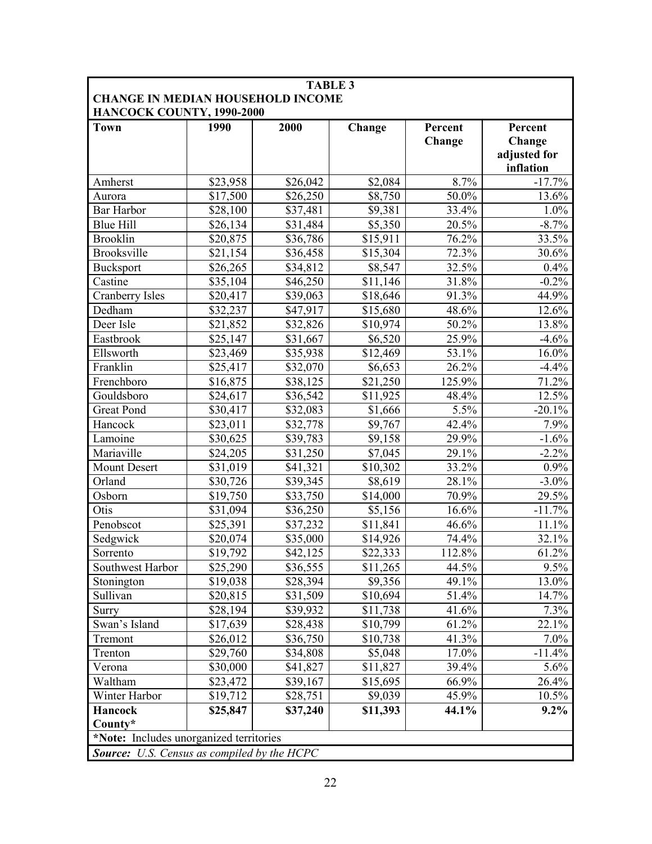| <b>TABLE 3</b><br><b>CHANGE IN MEDIAN HOUSEHOLD INCOME</b> |          |          |                      |         |                           |  |  |
|------------------------------------------------------------|----------|----------|----------------------|---------|---------------------------|--|--|
| HANCOCK COUNTY, 1990-2000<br><b>Town</b>                   | 1990     | 2000     | Change               | Percent | Percent                   |  |  |
|                                                            |          |          |                      | Change  | Change                    |  |  |
|                                                            |          |          |                      |         | adjusted for<br>inflation |  |  |
| Amherst                                                    | \$23,958 | \$26,042 | \$2,084              | 8.7%    | $-17.7%$                  |  |  |
| Aurora                                                     | \$17,500 | \$26,250 | \$8,750              | 50.0%   | 13.6%                     |  |  |
| Bar Harbor                                                 | \$28,100 | \$37,481 | \$9,381              | 33.4%   | 1.0%                      |  |  |
| <b>Blue Hill</b>                                           | \$26,134 | \$31,484 | \$5,350              | 20.5%   | $-8.7%$                   |  |  |
| <b>Brooklin</b>                                            | \$20,875 | \$36,786 | \$15,911             | 76.2%   | 33.5%                     |  |  |
| <b>Brooksville</b>                                         | \$21,154 | \$36,458 | \$15,304             | 72.3%   | 30.6%                     |  |  |
| <b>Bucksport</b>                                           | \$26,265 | \$34,812 | \$8,547              | 32.5%   | 0.4%                      |  |  |
| Castine                                                    | \$35,104 | \$46,250 | \$11,146             | 31.8%   | $-0.2%$                   |  |  |
| Cranberry Isles                                            | \$20,417 | \$39,063 | \$18,646             | 91.3%   | 44.9%                     |  |  |
| Dedham                                                     | \$32,237 | \$47,917 | \$15,680             | 48.6%   | 12.6%                     |  |  |
| Deer Isle                                                  | \$21,852 | \$32,826 | \$10,974             | 50.2%   | 13.8%                     |  |  |
| Eastbrook                                                  | \$25,147 | \$31,667 | \$6,520              | 25.9%   | $-4.6%$                   |  |  |
| Ellsworth                                                  | \$23,469 | \$35,938 | \$12,469             | 53.1%   | 16.0%                     |  |  |
| Franklin                                                   | \$25,417 | \$32,070 | \$6,653              | 26.2%   | $-4.4%$                   |  |  |
| Frenchboro                                                 | \$16,875 | \$38,125 | $\overline{$}21,250$ | 125.9%  | 71.2%                     |  |  |
| Gouldsboro                                                 | \$24,617 | \$36,542 | \$11,925             | 48.4%   | 12.5%                     |  |  |
| <b>Great Pond</b>                                          | \$30,417 | \$32,083 | \$1,666              | 5.5%    | $-20.1%$                  |  |  |
| Hancock                                                    | \$23,011 | \$32,778 | \$9,767              | 42.4%   | 7.9%                      |  |  |
| Lamoine                                                    | \$30,625 | \$39,783 | \$9,158              | 29.9%   | $-1.6%$                   |  |  |
| Mariaville                                                 | \$24,205 | \$31,250 | \$7,045              | 29.1%   | $-2.2%$                   |  |  |
| <b>Mount Desert</b>                                        | \$31,019 | \$41,321 | \$10,302             | 33.2%   | 0.9%                      |  |  |
| Orland                                                     | \$30,726 | \$39,345 | \$8,619              | 28.1%   | $-3.0\%$                  |  |  |
| Osborn                                                     | \$19,750 | \$33,750 | \$14,000             | 70.9%   | 29.5%                     |  |  |
| Otis                                                       | \$31,094 | \$36,250 | \$5,156              | 16.6%   | $-11.7%$                  |  |  |
| Penobscot                                                  | \$25,391 | \$37,232 | \$11,841             | 46.6%   | 11.1%                     |  |  |
| Sedgwick                                                   | \$20,074 | \$35,000 | \$14,926             | 74.4%   | 32.1%                     |  |  |
| Sorrento                                                   | \$19,792 | \$42,125 | \$22,333             | 112.8%  | 61.2%                     |  |  |
| Southwest Harbor                                           | \$25,290 | \$36,555 | \$11,265             | 44.5%   | 9.5%                      |  |  |
| Stonington                                                 | \$19,038 | \$28,394 | \$9,356              | 49.1%   | 13.0%                     |  |  |
| Sullivan                                                   | \$20,815 | \$31,509 | \$10,694             | 51.4%   | 14.7%                     |  |  |
| <b>Surry</b>                                               | \$28,194 | \$39,932 | \$11,738             | 41.6%   | 7.3%                      |  |  |
| Swan's Island                                              | \$17,639 | \$28,438 | \$10,799             | 61.2%   | 22.1%                     |  |  |
| Tremont                                                    | \$26,012 | \$36,750 | \$10,738             | 41.3%   | 7.0%                      |  |  |
| Trenton                                                    | \$29,760 | \$34,808 | \$5,048              | 17.0%   | $-11.4%$                  |  |  |
| Verona                                                     | \$30,000 | \$41,827 | \$11,827             | 39.4%   | 5.6%                      |  |  |
| Waltham                                                    | \$23,472 | \$39,167 | \$15,695             | 66.9%   | 26.4%                     |  |  |
| Winter Harbor                                              | \$19,712 | \$28,751 | \$9,039              | 45.9%   | 10.5%                     |  |  |
| <b>Hancock</b>                                             | \$25,847 | \$37,240 | \$11,393             | 44.1%   | $9.2\%$                   |  |  |
| County*                                                    |          |          |                      |         |                           |  |  |
| *Note: Includes unorganized territories                    |          |          |                      |         |                           |  |  |
| <b>Source:</b> U.S. Census as compiled by the HCPC         |          |          |                      |         |                           |  |  |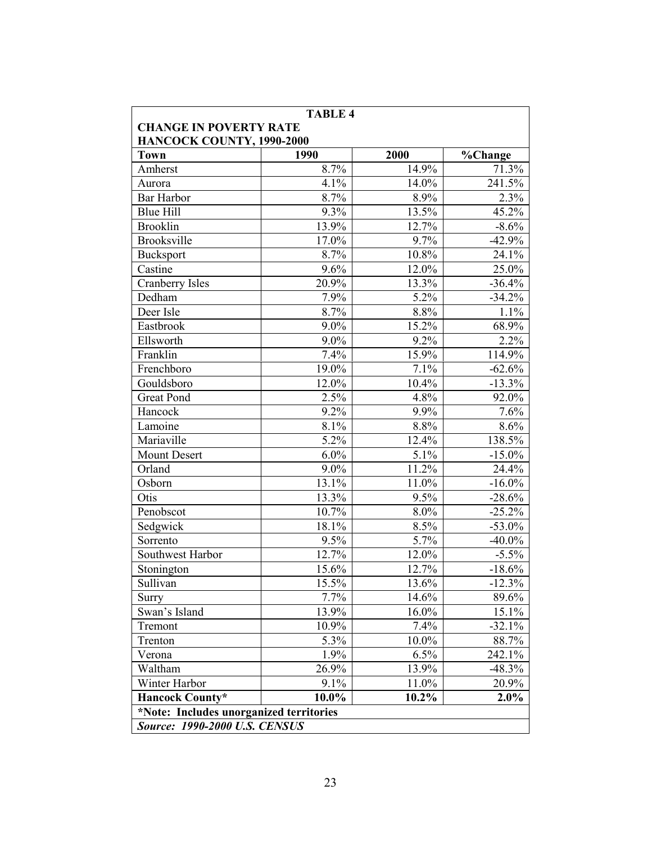| <b>TABLE 4</b><br><b>CHANGE IN POVERTY RATE</b> |         |       |           |  |  |  |
|-------------------------------------------------|---------|-------|-----------|--|--|--|
| HANCOCK COUNTY, 1990-2000                       |         |       |           |  |  |  |
| <b>Town</b>                                     | 1990    | 2000  | %Change   |  |  |  |
| Amherst                                         | 8.7%    | 14.9% | 71.3%     |  |  |  |
| Aurora                                          | 4.1%    | 14.0% | 241.5%    |  |  |  |
| <b>Bar Harbor</b>                               | 8.7%    | 8.9%  | 2.3%      |  |  |  |
| <b>Blue Hill</b>                                | 9.3%    | 13.5% | 45.2%     |  |  |  |
| <b>Brooklin</b>                                 | 13.9%   | 12.7% | $-8.6%$   |  |  |  |
| <b>Brooksville</b>                              | 17.0%   | 9.7%  | $-42.9%$  |  |  |  |
| <b>Bucksport</b>                                | 8.7%    | 10.8% | 24.1%     |  |  |  |
| Castine                                         | 9.6%    | 12.0% | 25.0%     |  |  |  |
| Cranberry Isles                                 | 20.9%   | 13.3% | $-36.4%$  |  |  |  |
| Dedham                                          | 7.9%    | 5.2%  | $-34.2%$  |  |  |  |
| Deer Isle                                       | 8.7%    | 8.8%  | 1.1%      |  |  |  |
| Eastbrook                                       | $9.0\%$ | 15.2% | 68.9%     |  |  |  |
| Ellsworth                                       | 9.0%    | 9.2%  | 2.2%      |  |  |  |
| Franklin                                        | 7.4%    | 15.9% | 114.9%    |  |  |  |
| Frenchboro                                      | 19.0%   | 7.1%  | $-62.6%$  |  |  |  |
| Gouldsboro                                      | 12.0%   | 10.4% | $-13.3%$  |  |  |  |
| <b>Great Pond</b>                               | 2.5%    | 4.8%  | 92.0%     |  |  |  |
| Hancock                                         | 9.2%    | 9.9%  | 7.6%      |  |  |  |
| Lamoine                                         | 8.1%    | 8.8%  | 8.6%      |  |  |  |
| Mariaville                                      | 5.2%    | 12.4% | 138.5%    |  |  |  |
| <b>Mount Desert</b>                             | 6.0%    | 5.1%  | $-15.0\%$ |  |  |  |
| Orland                                          | 9.0%    | 11.2% | 24.4%     |  |  |  |
| Osborn                                          | 13.1%   | 11.0% | $-16.0\%$ |  |  |  |
| Otis                                            | 13.3%   | 9.5%  | $-28.6%$  |  |  |  |
| Penobscot                                       | 10.7%   | 8.0%  | $-25.2%$  |  |  |  |
| Sedgwick                                        | 18.1%   | 8.5%  | $-53.0%$  |  |  |  |
| Sorrento                                        | 9.5%    | 5.7%  | $-40.0\%$ |  |  |  |
| Southwest Harbor                                | 12.7%   | 12.0% | $-5.5%$   |  |  |  |
| Stonington                                      | 15.6%   | 12.7% | $-18.6%$  |  |  |  |
| Sullivan                                        | 15.5%   | 13.6% | $-12.3%$  |  |  |  |
| Surry                                           | 7.7%    | 14.6% | 89.6%     |  |  |  |
| Swan's Island                                   | 13.9%   | 16.0% | 15.1%     |  |  |  |
| Tremont                                         | 10.9%   | 7.4%  | $-32.1%$  |  |  |  |
| Trenton                                         | 5.3%    | 10.0% | 88.7%     |  |  |  |
| Verona                                          | 1.9%    | 6.5%  | 242.1%    |  |  |  |
| Waltham                                         | 26.9%   | 13.9% | $-48.3%$  |  |  |  |
| Winter Harbor                                   | 9.1%    | 11.0% | 20.9%     |  |  |  |
| <b>Hancock County*</b>                          | 10.0%   | 10.2% | 2.0%      |  |  |  |
| *Note: Includes unorganized territories         |         |       |           |  |  |  |
| <b>Source: 1990-2000 U.S. CENSUS</b>            |         |       |           |  |  |  |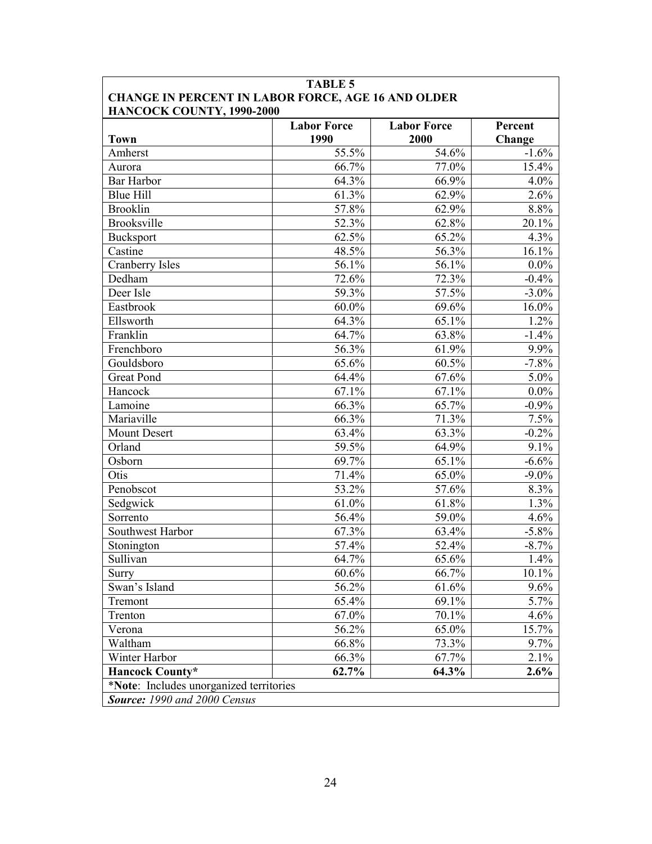| <b>Town</b>            | <b>Labor Force</b><br>1990 | <b>Labor Force</b><br>2000 | Percent<br>Change |
|------------------------|----------------------------|----------------------------|-------------------|
| Amherst                | 55.5%                      | 54.6%                      | $-1.6%$           |
| Aurora                 | 66.7%                      | 77.0%                      | 15.4%             |
| Bar Harbor             | 64.3%                      | 66.9%                      | $4.0\%$           |
| <b>Blue Hill</b>       | 61.3%                      | 62.9%                      | 2.6%              |
| <b>Brooklin</b>        | 57.8%                      | 62.9%                      | 8.8%              |
| Brooksville            | 52.3%                      | 62.8%                      | 20.1%             |
| <b>Bucksport</b>       | 62.5%                      | 65.2%                      | 4.3%              |
| Castine                | 48.5%                      | 56.3%                      | 16.1%             |
| <b>Cranberry Isles</b> | 56.1%                      | 56.1%                      | $0.0\%$           |
| Dedham                 | 72.6%                      | 72.3%                      | $-0.4%$           |
| Deer Isle              | 59.3%                      | 57.5%                      | $-3.0\%$          |
| Eastbrook              | 60.0%                      | 69.6%                      | 16.0%             |
| Ellsworth              | 64.3%                      | 65.1%                      | $1.2\%$           |
| Franklin               | 64.7%                      | 63.8%                      | $-1.4%$           |
| Frenchboro             | 56.3%                      | 61.9%                      | 9.9%              |
| Gouldsboro             | 65.6%                      | 60.5%                      | $-7.8%$           |
| <b>Great Pond</b>      | 64.4%                      | 67.6%                      | $5.0\%$           |
| Hancock                | 67.1%                      | 67.1%                      | $0.0\%$           |
| Lamoine                | 66.3%                      | 65.7%                      | $-0.9\%$          |
| Mariaville             | 66.3%                      | 71.3%                      | 7.5%              |
| <b>Mount Desert</b>    | 63.4%                      | 63.3%                      | $-0.2%$           |
| Orland                 | 59.5%                      | 64.9%                      | 9.1%              |
| Osborn                 | 69.7%                      | 65.1%                      | $-6.6%$           |
| Otis                   | 71.4%                      | 65.0%                      | $-9.0\%$          |
| Penobscot              | 53.2%                      | 57.6%                      | 8.3%              |
| Sedgwick               | 61.0%                      | 61.8%                      | 1.3%              |
| Sorrento               | 56.4%                      | 59.0%                      | 4.6%              |
| Southwest Harbor       | 67.3%                      | 63.4%                      | $-5.8\%$          |
| Stonington             | 57.4%                      | 52.4%                      | $-8.7\%$          |
| Sullivan               | 64.7%                      | 65.6%                      | $1.4\%$           |
| Surry                  | 60.6%                      | 66.7%                      | 10.1%             |
| Swan's Island          | 56.2%                      | 61.6%                      | 9.6%              |
| Tremont                | 65.4%                      | 69.1%                      | 5.7%              |
| Trenton                | 67.0%                      | 70.1%                      | 4.6%              |
| Verona                 | 56.2%                      | 65.0%                      | 15.7%             |
| Waltham                | 66.8%                      | 73.3%                      | 9.7%              |
| Winter Harbor          | 66.3%                      | 67.7%                      | 2.1%              |
| <b>Hancock County*</b> | 62.7%                      | 64.3%                      | $2.6\%$           |

## TABLE 5 Г

 $\overline{\phantom{a}}$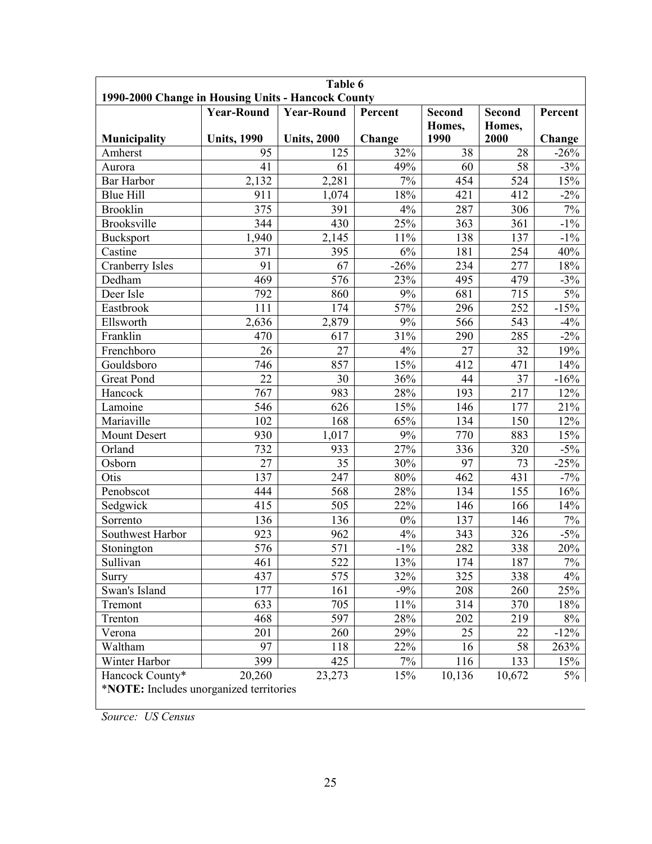| Table 6<br>1990-2000 Change in Housing Units - Hancock County |                    |                    |         |                  |                |         |  |  |
|---------------------------------------------------------------|--------------------|--------------------|---------|------------------|----------------|---------|--|--|
|                                                               | <b>Year-Round</b>  | <b>Year-Round</b>  | Percent | <b>Second</b>    | <b>Second</b>  | Percent |  |  |
| Municipality                                                  | <b>Units, 1990</b> | <b>Units, 2000</b> | Change  | Homes,<br>1990   | Homes,<br>2000 | Change  |  |  |
| Amherst                                                       | 95                 | 125                | 32%     | 38               | 28             | $-26%$  |  |  |
| Aurora                                                        | 41                 | 61                 | 49%     | 60               | 58             | $-3\%$  |  |  |
| <b>Bar Harbor</b>                                             | 2,132              | 2,281              | 7%      | 454              | 524            | 15%     |  |  |
| <b>Blue Hill</b>                                              | 911                | 1,074              | 18%     | 421              | 412            | $-2\%$  |  |  |
| <b>Brooklin</b>                                               | 375                | 391                | 4%      | 287              | 306            | $7\%$   |  |  |
| <b>Brooksville</b>                                            | 344                | 430                | 25%     | 363              | 361            | $-1\%$  |  |  |
| <b>Bucksport</b>                                              | 1,940              | 2,145              | 11%     | 138              | 137            | $-1\%$  |  |  |
| Castine                                                       | 371                | 395                | 6%      | 181              | 254            | 40%     |  |  |
| <b>Cranberry Isles</b>                                        | 91                 | 67                 | $-26%$  | 234              | 277            | 18%     |  |  |
| Dedham                                                        | 469                | 576                | 23%     | 495              | 479            | $-3%$   |  |  |
| Deer Isle                                                     | 792                | 860                | 9%      | 681              | 715            | $5\%$   |  |  |
| Eastbrook                                                     | 111                | 174                | 57%     | 296              | 252            | $-15%$  |  |  |
| Ellsworth                                                     | 2,636              | 2,879              | 9%      | $\overline{566}$ | 543            | $-4%$   |  |  |
| Franklin                                                      | 470                | 617                | 31%     | 290              | 285            | $-2\%$  |  |  |
| Frenchboro                                                    | 26                 | 27                 | 4%      | 27               | 32             | 19%     |  |  |
| Gouldsboro                                                    | 746                | 857                | 15%     | 412              | 471            | 14%     |  |  |
| <b>Great Pond</b>                                             | 22                 | 30                 | 36%     | 44               | 37             | $-16%$  |  |  |
| Hancock                                                       | 767                | 983                | 28%     | 193              | 217            | 12%     |  |  |
| Lamoine                                                       | 546                | 626                | 15%     | 146              | 177            | 21%     |  |  |
| Mariaville                                                    | 102                | 168                | 65%     | 134              | 150            | 12%     |  |  |
| Mount Desert                                                  | 930                | 1,017              | $9\%$   | 770              | 883            | 15%     |  |  |
| Orland                                                        | 732                | 933                | 27%     | 336              | 320            | $-5\%$  |  |  |
| Osborn                                                        | 27                 | 35                 | 30%     | 97               | 73             | $-25%$  |  |  |
| Otis                                                          | 137                | 247                | 80%     | 462              | 431            | $-7%$   |  |  |
| Penobscot                                                     | 444                | 568                | 28%     | 134              | 155            | 16%     |  |  |
| Sedgwick                                                      | 415                | 505                | 22%     | 146              | 166            | 14%     |  |  |
| Sorrento                                                      | 136                | 136                | $0\%$   | 137              | 146            | $7\%$   |  |  |
| Southwest Harbor                                              | $\overline{923}$   | 962                | 4%      | 343              | 326            | $-5\%$  |  |  |
| Stonington                                                    | 576                | 571                | $-1\%$  | 282              | 338            | 20%     |  |  |
| Sullivan                                                      | 461                | 522                | 13%     | 174              | 187            | $7\%$   |  |  |
| Surry                                                         | 437                | 575                | 32%     | 325              | 338            | 4%      |  |  |
| Swan's Island                                                 | 177                | 161                | $-9\%$  | 208              | 260            | 25%     |  |  |
| Tremont                                                       | 633                | 705                | $11\%$  | 314              | 370            | 18%     |  |  |
| Trenton                                                       | 468                | 597                | 28%     | 202              | 219            | $8\%$   |  |  |
| Verona                                                        | 201                | 260                | 29%     | 25               | 22             | $-12%$  |  |  |
| Waltham                                                       | 97                 | 118                | 22%     | 16               | 58             | 263%    |  |  |
| Winter Harbor                                                 | 399                | 425                | 7%      | 116              | 133            | 15%     |  |  |
| Hancock County*                                               | 20,260             | 23,273             | 15%     | 10,136           | 10,672         | 5%      |  |  |
| *NOTE: Includes unorganized territories                       |                    |                    |         |                  |                |         |  |  |

Source: US Census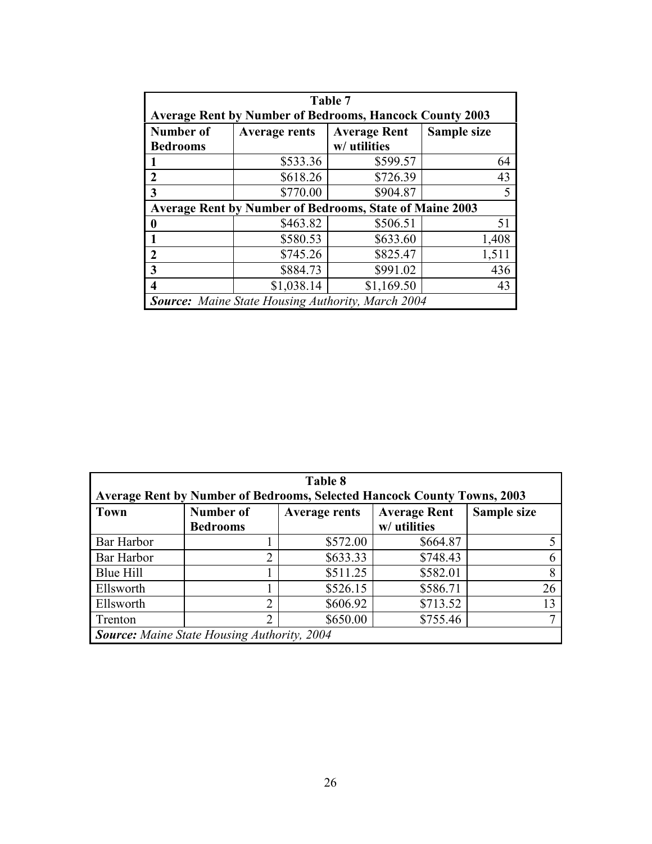| Table 7                                                        |                                                            |              |       |  |  |  |
|----------------------------------------------------------------|------------------------------------------------------------|--------------|-------|--|--|--|
| <b>Average Rent by Number of Bedrooms, Hancock County 2003</b> |                                                            |              |       |  |  |  |
| <b>Number of</b>                                               | <b>Average Rent</b><br>Sample size<br><b>Average rents</b> |              |       |  |  |  |
| <b>Bedrooms</b>                                                |                                                            | w/ utilities |       |  |  |  |
|                                                                | \$533.36                                                   | \$599.57     | 64    |  |  |  |
| $\mathbf 2$                                                    | \$618.26                                                   | \$726.39     | 43    |  |  |  |
| 3                                                              | \$770.00                                                   | \$904.87     |       |  |  |  |
| <b>Average Rent by Number of Bedrooms, State of Maine 2003</b> |                                                            |              |       |  |  |  |
| ı                                                              | \$463.82                                                   | \$506.51     | 51    |  |  |  |
|                                                                | \$580.53                                                   | \$633.60     | 1,408 |  |  |  |
| $\mathcal{L}$                                                  | \$745.26                                                   | \$825.47     | 1,511 |  |  |  |
| 3                                                              | \$884.73                                                   | \$991.02     | 436   |  |  |  |
|                                                                | \$1,038.14                                                 | \$1,169.50   | 43    |  |  |  |
| <b>Source:</b> Maine State Housing Authority, March 2004       |                                                            |              |       |  |  |  |

| Table 8<br><b>Average Rent by Number of Bedrooms, Selected Hancock County Towns, 2003</b> |                                     |                      |                                     |             |  |  |
|-------------------------------------------------------------------------------------------|-------------------------------------|----------------------|-------------------------------------|-------------|--|--|
| <b>Town</b>                                                                               | <b>Number of</b><br><b>Bedrooms</b> | <b>Average rents</b> | <b>Average Rent</b><br>w/ utilities | Sample size |  |  |
| Bar Harbor                                                                                |                                     | \$572.00             | \$664.87                            |             |  |  |
| Bar Harbor                                                                                | $\overline{2}$                      | \$633.33             | \$748.43                            | 6           |  |  |
| Blue Hill                                                                                 |                                     | \$511.25             | \$582.01                            | 8           |  |  |
| Ellsworth                                                                                 |                                     | \$526.15             | \$586.71                            | 26          |  |  |
| Ellsworth                                                                                 | $\overline{2}$                      | \$606.92             | \$713.52                            | 13          |  |  |
| Trenton                                                                                   | $\overline{2}$                      | \$650.00             | \$755.46                            |             |  |  |
| <b>Source:</b> Maine State Housing Authority, 2004                                        |                                     |                      |                                     |             |  |  |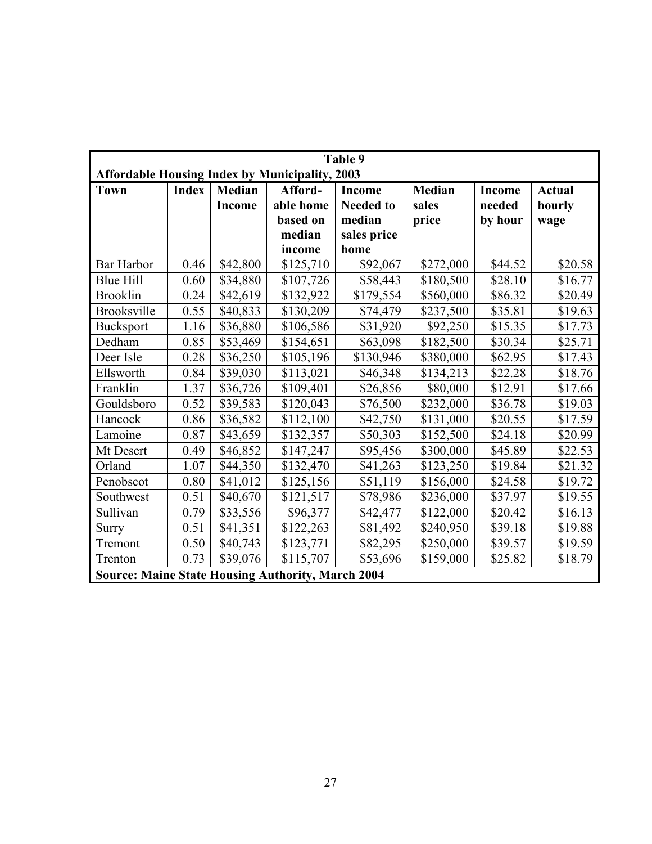| Table 9                                                  |              |               |           |                  |               |               |               |
|----------------------------------------------------------|--------------|---------------|-----------|------------------|---------------|---------------|---------------|
| <b>Affordable Housing Index by Municipality, 2003</b>    |              |               |           |                  |               |               |               |
| <b>Town</b>                                              | <b>Index</b> | <b>Median</b> | Afford-   | <b>Income</b>    | <b>Median</b> | <b>Income</b> | <b>Actual</b> |
|                                                          |              | Income        | able home | <b>Needed to</b> | sales         | needed        | hourly        |
|                                                          |              |               | based on  | median           | price         | by hour       | wage          |
|                                                          |              |               | median    | sales price      |               |               |               |
|                                                          |              |               | income    | home             |               |               |               |
| <b>Bar Harbor</b>                                        | 0.46         | \$42,800      | \$125,710 | \$92,067         | \$272,000     | \$44.52       | \$20.58       |
| <b>Blue Hill</b>                                         | 0.60         | \$34,880      | \$107,726 | \$58,443         | \$180,500     | \$28.10       | \$16.77       |
| <b>Brooklin</b>                                          | 0.24         | \$42,619      | \$132,922 | \$179,554        | \$560,000     | \$86.32       | \$20.49       |
| Brooksville                                              | 0.55         | \$40,833      | \$130,209 | \$74,479         | \$237,500     | \$35.81       | \$19.63       |
| <b>Bucksport</b>                                         | 1.16         | \$36,880      | \$106,586 | \$31,920         | \$92,250      | \$15.35       | \$17.73       |
| Dedham                                                   | 0.85         | \$53,469      | \$154,651 | \$63,098         | \$182,500     | \$30.34       | \$25.71       |
| Deer Isle                                                | 0.28         | \$36,250      | \$105,196 | \$130,946        | \$380,000     | \$62.95       | \$17.43       |
| Ellsworth                                                | 0.84         | \$39,030      | \$113,021 | \$46,348         | \$134,213     | \$22.28       | \$18.76       |
| Franklin                                                 | 1.37         | \$36,726      | \$109,401 | \$26,856         | \$80,000      | \$12.91       | \$17.66       |
| Gouldsboro                                               | 0.52         | \$39,583      | \$120,043 | \$76,500         | \$232,000     | \$36.78       | \$19.03       |
| Hancock                                                  | 0.86         | \$36,582      | \$112,100 | \$42,750         | \$131,000     | \$20.55       | \$17.59       |
| Lamoine                                                  | 0.87         | \$43,659      | \$132,357 | \$50,303         | \$152,500     | \$24.18       | \$20.99       |
| Mt Desert                                                | 0.49         | \$46,852      | \$147,247 | \$95,456         | \$300,000     | \$45.89       | \$22.53       |
| Orland                                                   | 1.07         | \$44,350      | \$132,470 | \$41,263         | \$123,250     | \$19.84       | \$21.32       |
| Penobscot                                                | 0.80         | \$41,012      | \$125,156 | \$51,119         | \$156,000     | \$24.58       | \$19.72       |
| Southwest                                                | 0.51         | \$40,670      | \$121,517 | \$78,986         | \$236,000     | \$37.97       | \$19.55       |
| Sullivan                                                 | 0.79         | \$33,556      | \$96,377  | \$42,477         | \$122,000     | \$20.42       | \$16.13       |
| Surry                                                    | 0.51         | \$41,351      | \$122,263 | \$81,492         | \$240,950     | \$39.18       | \$19.88       |
| Tremont                                                  | 0.50         | \$40,743      | \$123,771 | \$82,295         | \$250,000     | \$39.57       | \$19.59       |
| Trenton                                                  | 0.73         | \$39,076      | \$115,707 | \$53,696         | \$159,000     | \$25.82       | \$18.79       |
| <b>Source: Maine State Housing Authority, March 2004</b> |              |               |           |                  |               |               |               |